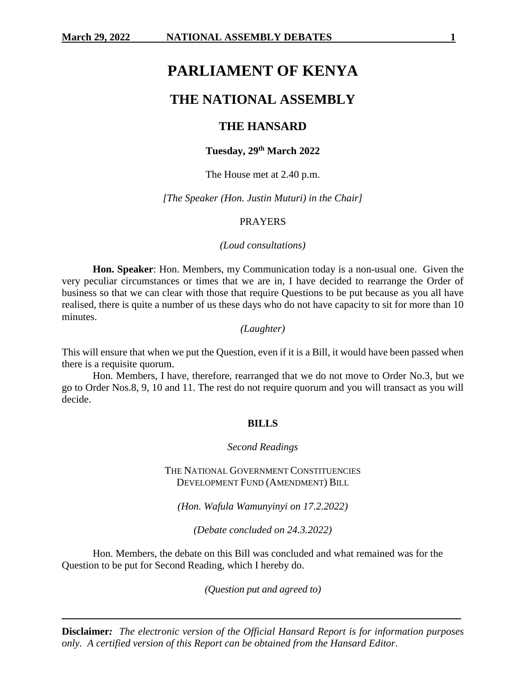# **PARLIAMENT OF KENYA**

# **THE NATIONAL ASSEMBLY**

# **THE HANSARD**

# **Tuesday, 29th March 2022**

### The House met at 2.40 p.m.

*[The Speaker (Hon. Justin Muturi) in the Chair]*

#### PRAYERS

#### *(Loud consultations)*

**Hon. Speaker**: Hon. Members, my Communication today is a non-usual one. Given the very peculiar circumstances or times that we are in, I have decided to rearrange the Order of business so that we can clear with those that require Questions to be put because as you all have realised, there is quite a number of us these days who do not have capacity to sit for more than 10 minutes.

*(Laughter)*

This will ensure that when we put the Question, even if it is a Bill, it would have been passed when there is a requisite quorum.

Hon. Members, I have, therefore, rearranged that we do not move to Order No.3, but we go to Order Nos.8, 9, 10 and 11. The rest do not require quorum and you will transact as you will decide.

#### **BILLS**

#### *Second Readings*

THE NATIONAL GOVERNMENT CONSTITUENCIES DEVELOPMENT FUND (AMENDMENT) BILL

*(Hon. Wafula Wamunyinyi on 17.2.2022)*

*(Debate concluded on 24.3.2022)*

Hon. Members, the debate on this Bill was concluded and what remained was for the Question to be put for Second Reading, which I hereby do.

*(Question put and agreed to)*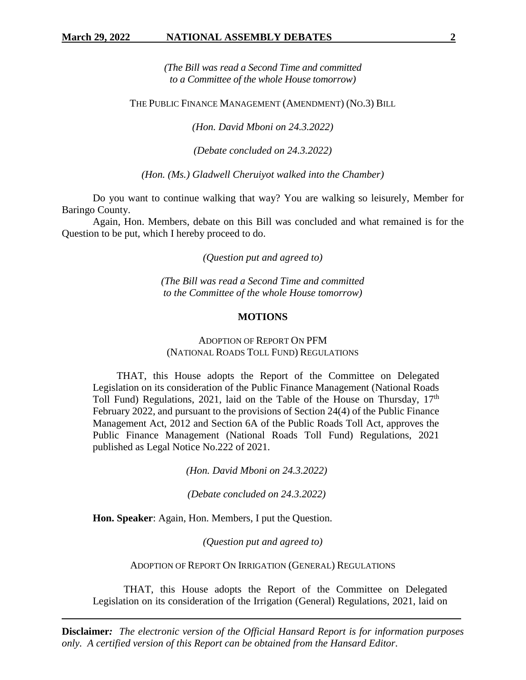*(The Bill was read a Second Time and committed to a Committee of the whole House tomorrow)*

THE PUBLIC FINANCE MANAGEMENT (AMENDMENT) (NO.3) BILL

*(Hon. David Mboni on 24.3.2022)*

*(Debate concluded on 24.3.2022)*

*(Hon. (Ms.) Gladwell Cheruiyot walked into the Chamber)*

Do you want to continue walking that way? You are walking so leisurely, Member for Baringo County.

Again, Hon. Members, debate on this Bill was concluded and what remained is for the Question to be put, which I hereby proceed to do.

*(Question put and agreed to)*

*(The Bill was read a Second Time and committed to the Committee of the whole House tomorrow)*

#### **MOTIONS**

# ADOPTION OF REPORT ON PFM (NATIONAL ROADS TOLL FUND) REGULATIONS

THAT, this House adopts the Report of the Committee on Delegated Legislation on its consideration of the Public Finance Management (National Roads Toll Fund) Regulations, 2021, laid on the Table of the House on Thursday,  $17<sup>th</sup>$ February 2022, and pursuant to the provisions of Section 24(4) of the Public Finance Management Act, 2012 and Section 6A of the Public Roads Toll Act, approves the Public Finance Management (National Roads Toll Fund) Regulations, 2021 published as Legal Notice No.222 of 2021.

*(Hon. David Mboni on 24.3.2022)*

*(Debate concluded on 24.3.2022)*

**Hon. Speaker**: Again, Hon. Members, I put the Question.

*(Question put and agreed to)*

ADOPTION OF REPORT ON IRRIGATION (GENERAL) REGULATIONS

THAT, this House adopts the Report of the Committee on Delegated Legislation on its consideration of the Irrigation (General) Regulations, 2021, laid on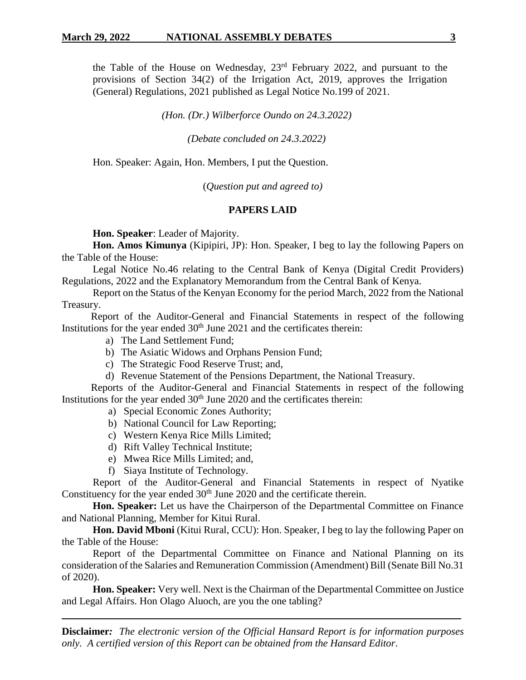the Table of the House on Wednesday,  $23<sup>rd</sup>$  February 2022, and pursuant to the provisions of Section 34(2) of the Irrigation Act, 2019, approves the Irrigation (General) Regulations, 2021 published as Legal Notice No.199 of 2021.

*(Hon. (Dr.) Wilberforce Oundo on 24.3.2022)*

*(Debate concluded on 24.3.2022)*

Hon. Speaker: Again, Hon. Members, I put the Question.

(*Question put and agreed to)*

### **PAPERS LAID**

**Hon. Speaker**: Leader of Majority.

**Hon. Amos Kimunya** (Kipipiri, JP): Hon. Speaker, I beg to lay the following Papers on the Table of the House:

Legal Notice No.46 relating to the Central Bank of Kenya (Digital Credit Providers) Regulations, 2022 and the Explanatory Memorandum from the Central Bank of Kenya.

Report on the Status of the Kenyan Economy for the period March, 2022 from the National Treasury.

Report of the Auditor-General and Financial Statements in respect of the following Institutions for the year ended  $30<sup>th</sup>$  June 2021 and the certificates therein:

- a) The Land Settlement Fund;
- b) The Asiatic Widows and Orphans Pension Fund;
- c) The Strategic Food Reserve Trust; and,
- d) Revenue Statement of the Pensions Department, the National Treasury.

Reports of the Auditor-General and Financial Statements in respect of the following Institutions for the year ended  $30<sup>th</sup>$  June 2020 and the certificates therein:

- a) Special Economic Zones Authority;
- b) National Council for Law Reporting;
- c) Western Kenya Rice Mills Limited;
- d) Rift Valley Technical Institute;
- e) Mwea Rice Mills Limited; and,
- f) Siaya Institute of Technology.

Report of the Auditor-General and Financial Statements in respect of Nyatike Constituency for the year ended  $30<sup>th</sup>$  June 2020 and the certificate therein.

**Hon. Speaker:** Let us have the Chairperson of the Departmental Committee on Finance and National Planning, Member for Kitui Rural.

**Hon. David Mboni** (Kitui Rural, CCU): Hon. Speaker, I beg to lay the following Paper on the Table of the House:

Report of the Departmental Committee on Finance and National Planning on its consideration of the Salaries and Remuneration Commission (Amendment) Bill (Senate Bill No.31 of 2020).

**Hon. Speaker:** Very well. Next is the Chairman of the Departmental Committee on Justice and Legal Affairs. Hon Olago Aluoch, are you the one tabling?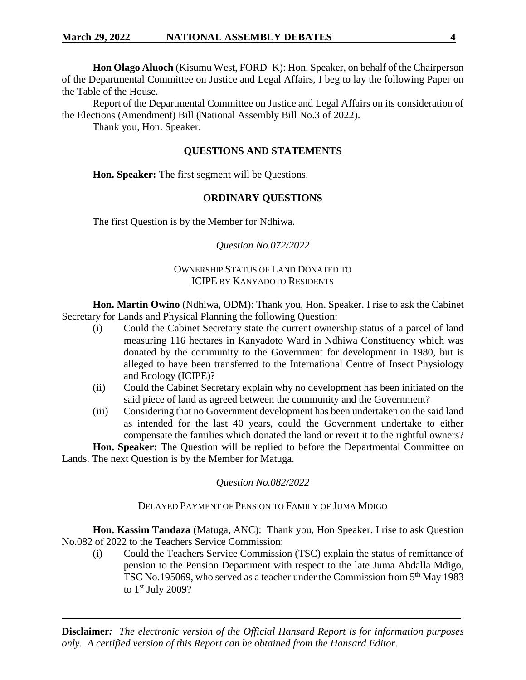**Hon Olago Aluoch** (Kisumu West, FORD–K): Hon. Speaker, on behalf of the Chairperson of the Departmental Committee on Justice and Legal Affairs, I beg to lay the following Paper on the Table of the House.

Report of the Departmental Committee on Justice and Legal Affairs on its consideration of the Elections (Amendment) Bill (National Assembly Bill No.3 of 2022).

Thank you, Hon. Speaker.

# **QUESTIONS AND STATEMENTS**

**Hon. Speaker:** The first segment will be Questions.

# **ORDINARY QUESTIONS**

The first Question is by the Member for Ndhiwa.

# *Question No.072/2022*

# OWNERSHIP STATUS OF LAND DONATED TO ICIPE BY KANYADOTO RESIDENTS

**Hon. Martin Owino** (Ndhiwa, ODM): Thank you, Hon. Speaker. I rise to ask the Cabinet Secretary for Lands and Physical Planning the following Question:

- (i) Could the Cabinet Secretary state the current ownership status of a parcel of land measuring 116 hectares in Kanyadoto Ward in Ndhiwa Constituency which was donated by the community to the Government for development in 1980, but is alleged to have been transferred to the International Centre of Insect Physiology and Ecology (ICIPE)?
- (ii) Could the Cabinet Secretary explain why no development has been initiated on the said piece of land as agreed between the community and the Government?
- (iii) Considering that no Government development has been undertaken on the said land as intended for the last 40 years, could the Government undertake to either compensate the families which donated the land or revert it to the rightful owners?

**Hon. Speaker:** The Question will be replied to before the Departmental Committee on Lands. The next Question is by the Member for Matuga.

# *Question No.082/2022*

# DELAYED PAYMENT OF PENSION TO FAMILY OF JUMA MDIGO

**Hon. Kassim Tandaza** (Matuga, ANC): Thank you, Hon Speaker. I rise to ask Question No.082 of 2022 to the Teachers Service Commission:

(i) Could the Teachers Service Commission (TSC) explain the status of remittance of pension to the Pension Department with respect to the late Juma Abdalla Mdigo, TSC No.195069, who served as a teacher under the Commission from 5<sup>th</sup> May 1983 to 1st July 2009?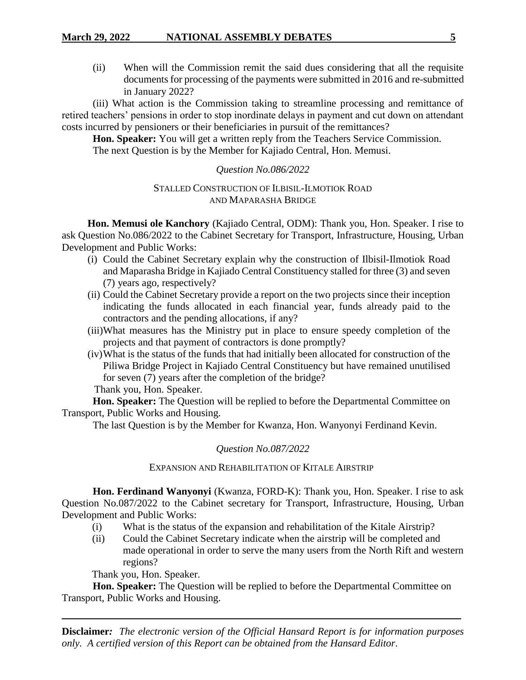(ii) When will the Commission remit the said dues considering that all the requisite documents for processing of the payments were submitted in 2016 and re-submitted in January 2022?

(iii) What action is the Commission taking to streamline processing and remittance of retired teachers' pensions in order to stop inordinate delays in payment and cut down on attendant costs incurred by pensioners or their beneficiaries in pursuit of the remittances?

**Hon. Speaker:** You will get a written reply from the Teachers Service Commission. The next Question is by the Member for Kajiado Central, Hon. Memusi.

# *Question No.086/2022*

# STALLED CONSTRUCTION OF ILBISIL-ILMOTIOK ROAD AND MAPARASHA BRIDGE

**Hon. Memusi ole Kanchory** (Kajiado Central, ODM): Thank you, Hon. Speaker. I rise to ask Question No.086/2022 to the Cabinet Secretary for Transport, Infrastructure, Housing, Urban Development and Public Works:

- (i) Could the Cabinet Secretary explain why the construction of Ilbisil-Ilmotiok Road and Maparasha Bridge in Kajiado Central Constituency stalled for three (3) and seven (7) years ago, respectively?
- (ii) Could the Cabinet Secretary provide a report on the two projects since their inception indicating the funds allocated in each financial year, funds already paid to the contractors and the pending allocations, if any?
- (iii)What measures has the Ministry put in place to ensure speedy completion of the projects and that payment of contractors is done promptly?
- (iv)What is the status of the funds that had initially been allocated for construction of the Piliwa Bridge Project in Kajiado Central Constituency but have remained unutilised for seven (7) years after the completion of the bridge?

Thank you, Hon. Speaker.

**Hon. Speaker:** The Question will be replied to before the Departmental Committee on Transport, Public Works and Housing.

The last Question is by the Member for Kwanza, Hon. Wanyonyi Ferdinand Kevin.

# *Question No.087/2022*

# EXPANSION AND REHABILITATION OF KITALE AIRSTRIP

**Hon. Ferdinand Wanyonyi** (Kwanza, FORD-K): Thank you, Hon. Speaker. I rise to ask Question No.087/2022 to the Cabinet secretary for Transport, Infrastructure, Housing, Urban Development and Public Works:

- (i) What is the status of the expansion and rehabilitation of the Kitale Airstrip?
- (ii) Could the Cabinet Secretary indicate when the airstrip will be completed and made operational in order to serve the many users from the North Rift and western regions?

Thank you, Hon. Speaker.

**Hon. Speaker:** The Question will be replied to before the Departmental Committee on Transport, Public Works and Housing.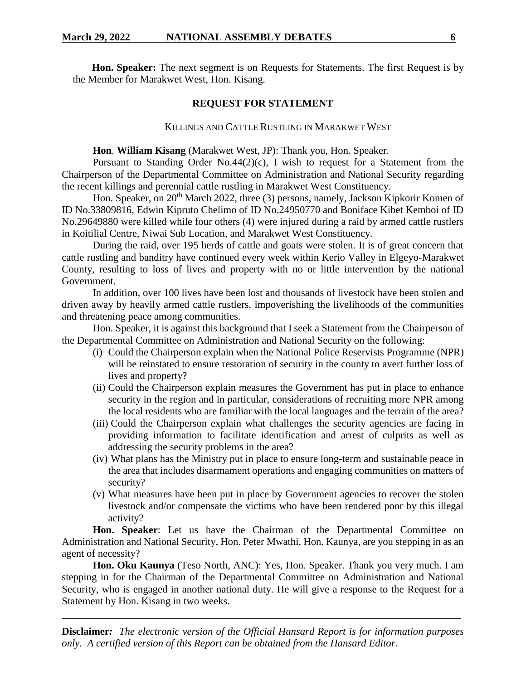**Hon. Speaker:** The next segment is on Requests for Statements. The first Request is by the Member for Marakwet West, Hon. Kisang.

### **REQUEST FOR STATEMENT**

### KILLINGS AND CATTLE RUSTLING IN MARAKWET WEST

### **Hon**. **William Kisang** (Marakwet West, JP): Thank you, Hon. Speaker.

Pursuant to Standing Order No.44(2)(c), I wish to request for a Statement from the Chairperson of the Departmental Committee on Administration and National Security regarding the recent killings and perennial cattle rustling in Marakwet West Constituency.

Hon. Speaker, on 20<sup>th</sup> March 2022, three (3) persons, namely, Jackson Kipkorir Komen of ID No.33809816, Edwin Kipruto Chelimo of ID No.24950770 and Boniface Kibet Kemboi of ID No.29649880 were killed while four others (4) were injured during a raid by armed cattle rustlers in Koitilial Centre, Niwai Sub Location, and Marakwet West Constituency.

During the raid, over 195 herds of cattle and goats were stolen. It is of great concern that cattle rustling and banditry have continued every week within Kerio Valley in Elgeyo-Marakwet County, resulting to loss of lives and property with no or little intervention by the national Government.

In addition, over 100 lives have been lost and thousands of livestock have been stolen and driven away by heavily armed cattle rustlers, impoverishing the livelihoods of the communities and threatening peace among communities.

Hon. Speaker, it is against this background that I seek a Statement from the Chairperson of the Departmental Committee on Administration and National Security on the following:

- (i) Could the Chairperson explain when the National Police Reservists Programme (NPR) will be reinstated to ensure restoration of security in the county to avert further loss of lives and property?
- (ii) Could the Chairperson explain measures the Government has put in place to enhance security in the region and in particular, considerations of recruiting more NPR among the local residents who are familiar with the local languages and the terrain of the area?
- (iii) Could the Chairperson explain what challenges the security agencies are facing in providing information to facilitate identification and arrest of culprits as well as addressing the security problems in the area?
- (iv) What plans has the Ministry put in place to ensure long-term and sustainable peace in the area that includes disarmament operations and engaging communities on matters of security?
- (v) What measures have been put in place by Government agencies to recover the stolen livestock and/or compensate the victims who have been rendered poor by this illegal activity?

Hon. Speaker: Let us have the Chairman of the Departmental Committee on Administration and National Security, Hon. Peter Mwathi. Hon. Kaunya, are you stepping in as an agent of necessity?

**Hon. Oku Kaunya** (Teso North, ANC): Yes, Hon. Speaker. Thank you very much. I am stepping in for the Chairman of the Departmental Committee on Administration and National Security, who is engaged in another national duty. He will give a response to the Request for a Statement by Hon. Kisang in two weeks.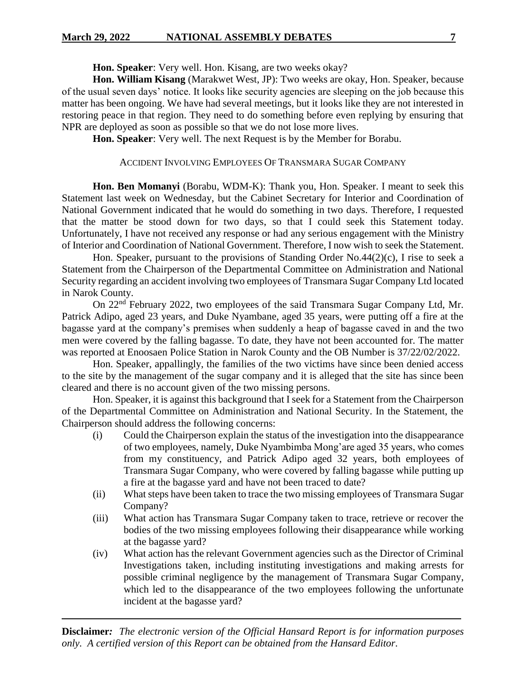**Hon. Speaker**: Very well. Hon. Kisang, are two weeks okay?

**Hon. William Kisang** (Marakwet West, JP): Two weeks are okay, Hon. Speaker, because of the usual seven days' notice. It looks like security agencies are sleeping on the job because this matter has been ongoing. We have had several meetings, but it looks like they are not interested in restoring peace in that region. They need to do something before even replying by ensuring that NPR are deployed as soon as possible so that we do not lose more lives.

**Hon. Speaker**: Very well. The next Request is by the Member for Borabu.

# ACCIDENT INVOLVING EMPLOYEES OF TRANSMARA SUGAR COMPANY

**Hon. Ben Momanyi** (Borabu, WDM-K): Thank you, Hon. Speaker. I meant to seek this Statement last week on Wednesday, but the Cabinet Secretary for Interior and Coordination of National Government indicated that he would do something in two days. Therefore, I requested that the matter be stood down for two days, so that I could seek this Statement today. Unfortunately, I have not received any response or had any serious engagement with the Ministry of Interior and Coordination of National Government. Therefore, I now wish to seek the Statement.

Hon. Speaker, pursuant to the provisions of Standing Order No.44(2)(c), I rise to seek a Statement from the Chairperson of the Departmental Committee on Administration and National Security regarding an accident involving two employees of Transmara Sugar Company Ltd located in Narok County.

On 22nd February 2022, two employees of the said Transmara Sugar Company Ltd, Mr. Patrick Adipo, aged 23 years, and Duke Nyambane, aged 35 years, were putting off a fire at the bagasse yard at the company's premises when suddenly a heap of bagasse caved in and the two men were covered by the falling bagasse. To date, they have not been accounted for. The matter was reported at Enoosaen Police Station in Narok County and the OB Number is 37/22/02/2022.

Hon. Speaker, appallingly, the families of the two victims have since been denied access to the site by the management of the sugar company and it is alleged that the site has since been cleared and there is no account given of the two missing persons.

Hon. Speaker, it is against this background that I seek for a Statement from the Chairperson of the Departmental Committee on Administration and National Security. In the Statement, the Chairperson should address the following concerns:

- (i) Could the Chairperson explain the status of the investigation into the disappearance of two employees, namely, Duke Nyambimba Mong'are aged 35 years, who comes from my constituency, and Patrick Adipo aged 32 years, both employees of Transmara Sugar Company, who were covered by falling bagasse while putting up a fire at the bagasse yard and have not been traced to date?
- (ii) What steps have been taken to trace the two missing employees of Transmara Sugar Company?
- (iii) What action has Transmara Sugar Company taken to trace, retrieve or recover the bodies of the two missing employees following their disappearance while working at the bagasse yard?
- (iv) What action has the relevant Government agencies such as the Director of Criminal Investigations taken, including instituting investigations and making arrests for possible criminal negligence by the management of Transmara Sugar Company, which led to the disappearance of the two employees following the unfortunate incident at the bagasse yard?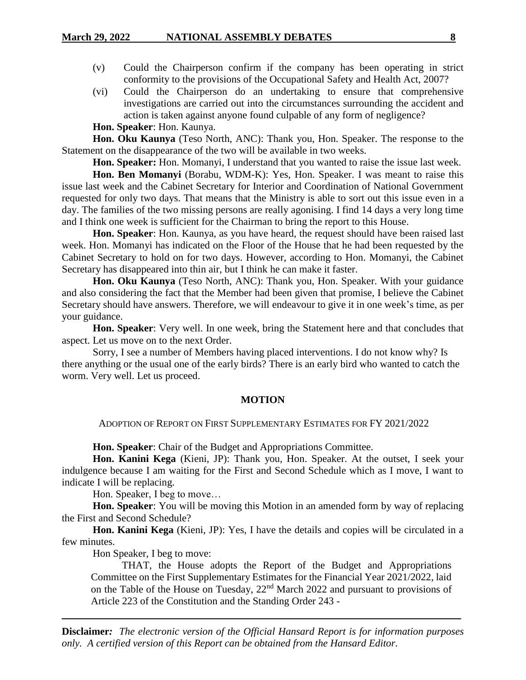- (v) Could the Chairperson confirm if the company has been operating in strict conformity to the provisions of the Occupational Safety and Health Act, 2007?
- (vi) Could the Chairperson do an undertaking to ensure that comprehensive investigations are carried out into the circumstances surrounding the accident and action is taken against anyone found culpable of any form of negligence?

# **Hon. Speaker**: Hon. Kaunya.

**Hon. Oku Kaunya** (Teso North, ANC): Thank you, Hon. Speaker. The response to the Statement on the disappearance of the two will be available in two weeks.

**Hon. Speaker:** Hon. Momanyi, I understand that you wanted to raise the issue last week.

**Hon. Ben Momanyi** (Borabu, WDM-K): Yes, Hon. Speaker. I was meant to raise this issue last week and the Cabinet Secretary for Interior and Coordination of National Government requested for only two days. That means that the Ministry is able to sort out this issue even in a day. The families of the two missing persons are really agonising. I find 14 days a very long time and I think one week is sufficient for the Chairman to bring the report to this House.

**Hon. Speaker**: Hon. Kaunya, as you have heard, the request should have been raised last week. Hon. Momanyi has indicated on the Floor of the House that he had been requested by the Cabinet Secretary to hold on for two days. However, according to Hon. Momanyi, the Cabinet Secretary has disappeared into thin air, but I think he can make it faster.

**Hon. Oku Kaunya** (Teso North, ANC): Thank you, Hon. Speaker. With your guidance and also considering the fact that the Member had been given that promise, I believe the Cabinet Secretary should have answers. Therefore, we will endeavour to give it in one week's time, as per your guidance.

**Hon. Speaker**: Very well. In one week, bring the Statement here and that concludes that aspect. Let us move on to the next Order.

Sorry, I see a number of Members having placed interventions. I do not know why? Is there anything or the usual one of the early birds? There is an early bird who wanted to catch the worm. Very well. Let us proceed.

#### **MOTION**

ADOPTION OF REPORT ON FIRST SUPPLEMENTARY ESTIMATES FOR FY 2021/2022

**Hon. Speaker**: Chair of the Budget and Appropriations Committee.

**Hon. Kanini Kega** (Kieni, JP): Thank you, Hon. Speaker. At the outset, I seek your indulgence because I am waiting for the First and Second Schedule which as I move, I want to indicate I will be replacing.

Hon. Speaker, I beg to move…

**Hon. Speaker**: You will be moving this Motion in an amended form by way of replacing the First and Second Schedule?

**Hon. Kanini Kega** (Kieni, JP): Yes, I have the details and copies will be circulated in a few minutes.

Hon Speaker, I beg to move:

THAT, the House adopts the Report of the Budget and Appropriations Committee on the First Supplementary Estimates for the Financial Year 2021/2022, laid on the Table of the House on Tuesday, 22nd March 2022 and pursuant to provisions of Article 223 of the Constitution and the Standing Order 243 -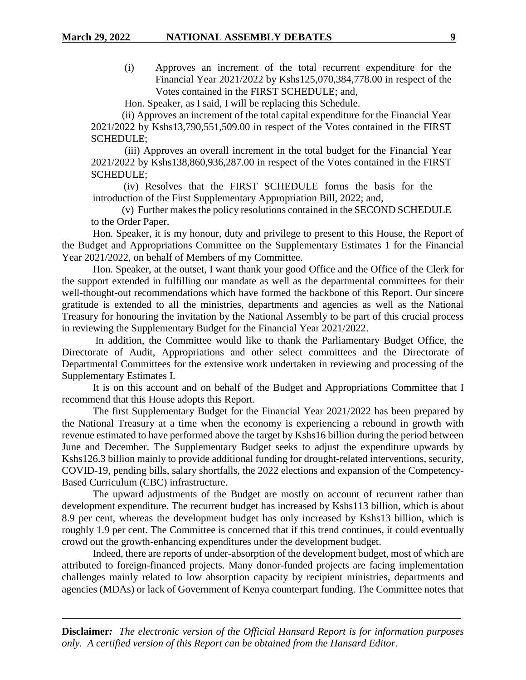(i) Approves an increment of the total recurrent expenditure for the Financial Year 2021/2022 by Kshs125,070,384,778.00 in respect of the Votes contained in the FIRST SCHEDULE; and,

Hon. Speaker, as I said, I will be replacing this Schedule.

(ii) Approves an increment of the total capital expenditure for the Financial Year 2021/2022 by Kshs13,790,551,509.00 in respect of the Votes contained in the FIRST SCHEDULE;

(iii) Approves an overall increment in the total budget for the Financial Year 2021/2022 by Kshs138,860,936,287.00 in respect of the Votes contained in the FIRST SCHEDULE;

(iv) Resolves that the FIRST SCHEDULE forms the basis for the introduction of the First Supplementary Appropriation Bill, 2022; and,

(v) Further makes the policy resolutions contained in the SECOND SCHEDULE to the Order Paper.

Hon. Speaker, it is my honour, duty and privilege to present to this House, the Report of the Budget and Appropriations Committee on the Supplementary Estimates 1 for the Financial Year 2021/2022, on behalf of Members of my Committee.

Hon. Speaker, at the outset, I want thank your good Office and the Office of the Clerk for the support extended in fulfilling our mandate as well as the departmental committees for their well-thought-out recommendations which have formed the backbone of this Report. Our sincere gratitude is extended to all the ministries, departments and agencies as well as the National Treasury for honouring the invitation by the National Assembly to be part of this crucial process in reviewing the Supplementary Budget for the Financial Year 2021/2022.

In addition, the Committee would like to thank the Parliamentary Budget Office, the Directorate of Audit, Appropriations and other select committees and the Directorate of Departmental Committees for the extensive work undertaken in reviewing and processing of the Supplementary Estimates I.

It is on this account and on behalf of the Budget and Appropriations Committee that I recommend that this House adopts this Report.

The first Supplementary Budget for the Financial Year 2021/2022 has been prepared by the National Treasury at a time when the economy is experiencing a rebound in growth with revenue estimated to have performed above the target by Kshs16 billion during the period between June and December. The Supplementary Budget seeks to adjust the expenditure upwards by Kshs126.3 billion mainly to provide additional funding for drought-related interventions, security, COVID-19, pending bills, salary shortfalls, the 2022 elections and expansion of the Competency-Based Curriculum (CBC) infrastructure.

The upward adjustments of the Budget are mostly on account of recurrent rather than development expenditure. The recurrent budget has increased by Kshs113 billion, which is about 8.9 per cent, whereas the development budget has only increased by Kshs13 billion, which is roughly 1.9 per cent. The Committee is concerned that if this trend continues, it could eventually crowd out the growth-enhancing expenditures under the development budget.

Indeed, there are reports of under-absorption of the development budget, most of which are attributed to foreign-financed projects. Many donor-funded projects are facing implementation challenges mainly related to low absorption capacity by recipient ministries, departments and agencies (MDAs) or lack of Government of Kenya counterpart funding. The Committee notes that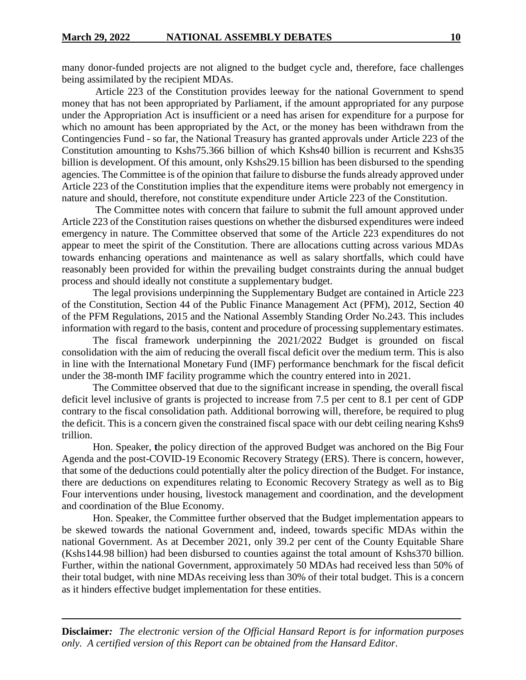many donor-funded projects are not aligned to the budget cycle and, therefore, face challenges being assimilated by the recipient MDAs.

Article 223 of the Constitution provides leeway for the national Government to spend money that has not been appropriated by Parliament, if the amount appropriated for any purpose under the Appropriation Act is insufficient or a need has arisen for expenditure for a purpose for which no amount has been appropriated by the Act, or the money has been withdrawn from the Contingencies Fund - so far, the National Treasury has granted approvals under Article 223 of the Constitution amounting to Kshs75.366 billion of which Kshs40 billion is recurrent and Kshs35 billion is development. Of this amount, only Kshs29.15 billion has been disbursed to the spending agencies. The Committee is of the opinion that failure to disburse the funds already approved under Article 223 of the Constitution implies that the expenditure items were probably not emergency in nature and should, therefore, not constitute expenditure under Article 223 of the Constitution.

The Committee notes with concern that failure to submit the full amount approved under Article 223 of the Constitution raises questions on whether the disbursed expenditures were indeed emergency in nature. The Committee observed that some of the Article 223 expenditures do not appear to meet the spirit of the Constitution. There are allocations cutting across various MDAs towards enhancing operations and maintenance as well as salary shortfalls, which could have reasonably been provided for within the prevailing budget constraints during the annual budget process and should ideally not constitute a supplementary budget.

The legal provisions underpinning the Supplementary Budget are contained in Article 223 of the Constitution, Section 44 of the Public Finance Management Act (PFM), 2012, Section 40 of the PFM Regulations, 2015 and the National Assembly Standing Order No.243. This includes information with regard to the basis, content and procedure of processing supplementary estimates.

The fiscal framework underpinning the 2021/2022 Budget is grounded on fiscal consolidation with the aim of reducing the overall fiscal deficit over the medium term. This is also in line with the International Monetary Fund (IMF) performance benchmark for the fiscal deficit under the 38-month IMF facility programme which the country entered into in 2021.

The Committee observed that due to the significant increase in spending, the overall fiscal deficit level inclusive of grants is projected to increase from 7.5 per cent to 8.1 per cent of GDP contrary to the fiscal consolidation path. Additional borrowing will, therefore, be required to plug the deficit. This is a concern given the constrained fiscal space with our debt ceiling nearing Kshs9 trillion.

Hon. Speaker, **t**he policy direction of the approved Budget was anchored on the Big Four Agenda and the post-COVID-19 Economic Recovery Strategy (ERS). There is concern, however, that some of the deductions could potentially alter the policy direction of the Budget. For instance, there are deductions on expenditures relating to Economic Recovery Strategy as well as to Big Four interventions under housing, livestock management and coordination, and the development and coordination of the Blue Economy.

Hon. Speaker, the Committee further observed that the Budget implementation appears to be skewed towards the national Government and, indeed, towards specific MDAs within the national Government. As at December 2021, only 39.2 per cent of the County Equitable Share (Kshs144.98 billion) had been disbursed to counties against the total amount of Kshs370 billion. Further, within the national Government, approximately 50 MDAs had received less than 50% of their total budget, with nine MDAs receiving less than 30% of their total budget. This is a concern as it hinders effective budget implementation for these entities.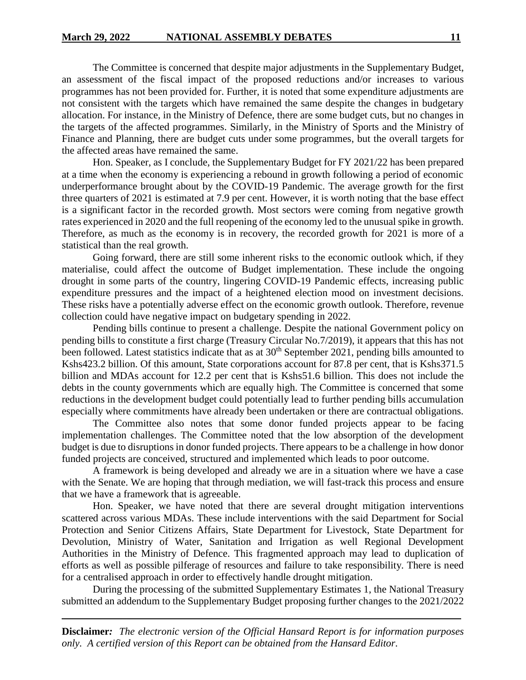The Committee is concerned that despite major adjustments in the Supplementary Budget, an assessment of the fiscal impact of the proposed reductions and/or increases to various programmes has not been provided for. Further, it is noted that some expenditure adjustments are not consistent with the targets which have remained the same despite the changes in budgetary allocation. For instance, in the Ministry of Defence, there are some budget cuts, but no changes in the targets of the affected programmes. Similarly, in the Ministry of Sports and the Ministry of Finance and Planning, there are budget cuts under some programmes, but the overall targets for the affected areas have remained the same.

Hon. Speaker, as I conclude, the Supplementary Budget for FY 2021/22 has been prepared at a time when the economy is experiencing a rebound in growth following a period of economic underperformance brought about by the COVID-19 Pandemic. The average growth for the first three quarters of 2021 is estimated at 7.9 per cent. However, it is worth noting that the base effect is a significant factor in the recorded growth. Most sectors were coming from negative growth rates experienced in 2020 and the full reopening of the economy led to the unusual spike in growth. Therefore, as much as the economy is in recovery, the recorded growth for 2021 is more of a statistical than the real growth.

Going forward, there are still some inherent risks to the economic outlook which, if they materialise, could affect the outcome of Budget implementation. These include the ongoing drought in some parts of the country, lingering COVID-19 Pandemic effects, increasing public expenditure pressures and the impact of a heightened election mood on investment decisions. These risks have a potentially adverse effect on the economic growth outlook. Therefore, revenue collection could have negative impact on budgetary spending in 2022.

Pending bills continue to present a challenge. Despite the national Government policy on pending bills to constitute a first charge (Treasury Circular No.7/2019), it appears that this has not been followed. Latest statistics indicate that as at  $30<sup>th</sup>$  September 2021, pending bills amounted to Kshs423.2 billion. Of this amount, State corporations account for 87.8 per cent, that is Kshs371.5 billion and MDAs account for 12.2 per cent that is Kshs51.6 billion. This does not include the debts in the county governments which are equally high. The Committee is concerned that some reductions in the development budget could potentially lead to further pending bills accumulation especially where commitments have already been undertaken or there are contractual obligations.

The Committee also notes that some donor funded projects appear to be facing implementation challenges. The Committee noted that the low absorption of the development budget is due to disruptions in donor funded projects. There appears to be a challenge in how donor funded projects are conceived, structured and implemented which leads to poor outcome.

A framework is being developed and already we are in a situation where we have a case with the Senate. We are hoping that through mediation, we will fast-track this process and ensure that we have a framework that is agreeable.

Hon. Speaker, we have noted that there are several drought mitigation interventions scattered across various MDAs. These include interventions with the said Department for Social Protection and Senior Citizens Affairs, State Department for Livestock, State Department for Devolution, Ministry of Water, Sanitation and Irrigation as well Regional Development Authorities in the Ministry of Defence. This fragmented approach may lead to duplication of efforts as well as possible pilferage of resources and failure to take responsibility. There is need for a centralised approach in order to effectively handle drought mitigation.

During the processing of the submitted Supplementary Estimates 1, the National Treasury submitted an addendum to the Supplementary Budget proposing further changes to the 2021/2022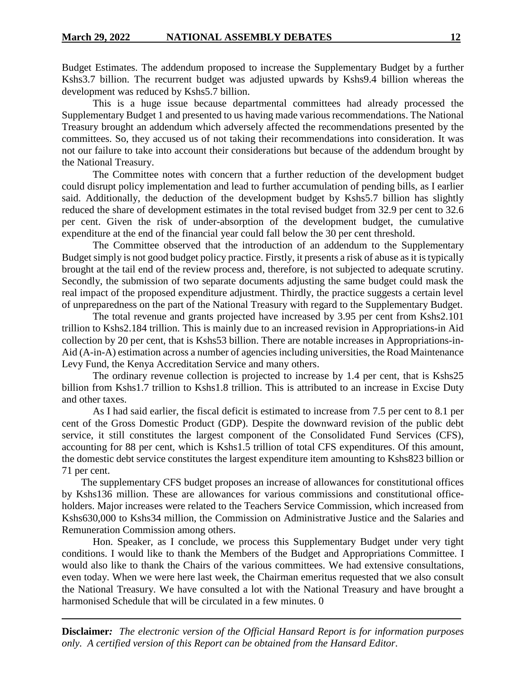Budget Estimates. The addendum proposed to increase the Supplementary Budget by a further Kshs3.7 billion. The recurrent budget was adjusted upwards by Kshs9.4 billion whereas the development was reduced by Kshs5.7 billion.

This is a huge issue because departmental committees had already processed the Supplementary Budget 1 and presented to us having made various recommendations. The National Treasury brought an addendum which adversely affected the recommendations presented by the committees. So, they accused us of not taking their recommendations into consideration. It was not our failure to take into account their considerations but because of the addendum brought by the National Treasury.

The Committee notes with concern that a further reduction of the development budget could disrupt policy implementation and lead to further accumulation of pending bills, as I earlier said. Additionally, the deduction of the development budget by Kshs5.7 billion has slightly reduced the share of development estimates in the total revised budget from 32.9 per cent to 32.6 per cent. Given the risk of under-absorption of the development budget, the cumulative expenditure at the end of the financial year could fall below the 30 per cent threshold.

The Committee observed that the introduction of an addendum to the Supplementary Budget simply is not good budget policy practice. Firstly, it presents a risk of abuse as it istypically brought at the tail end of the review process and, therefore, is not subjected to adequate scrutiny. Secondly, the submission of two separate documents adjusting the same budget could mask the real impact of the proposed expenditure adjustment. Thirdly, the practice suggests a certain level of unpreparedness on the part of the National Treasury with regard to the Supplementary Budget.

The total revenue and grants projected have increased by 3.95 per cent from Kshs2.101 trillion to Kshs2.184 trillion. This is mainly due to an increased revision in Appropriations-in Aid collection by 20 per cent, that is Kshs53 billion. There are notable increases in Appropriations-in-Aid (A-in-A) estimation across a number of agencies including universities, the Road Maintenance Levy Fund, the Kenya Accreditation Service and many others.

The ordinary revenue collection is projected to increase by 1.4 per cent, that is Kshs25 billion from Kshs1.7 trillion to Kshs1.8 trillion. This is attributed to an increase in Excise Duty and other taxes.

As I had said earlier, the fiscal deficit is estimated to increase from 7.5 per cent to 8.1 per cent of the Gross Domestic Product (GDP). Despite the downward revision of the public debt service, it still constitutes the largest component of the Consolidated Fund Services (CFS), accounting for 88 per cent, which is Kshs1.5 trillion of total CFS expenditures. Of this amount, the domestic debt service constitutes the largest expenditure item amounting to Kshs823 billion or 71 per cent.

The supplementary CFS budget proposes an increase of allowances for constitutional offices by Kshs136 million. These are allowances for various commissions and constitutional officeholders. Major increases were related to the Teachers Service Commission, which increased from Kshs630,000 to Kshs34 million, the Commission on Administrative Justice and the Salaries and Remuneration Commission among others.

Hon. Speaker, as I conclude, we process this Supplementary Budget under very tight conditions. I would like to thank the Members of the Budget and Appropriations Committee. I would also like to thank the Chairs of the various committees. We had extensive consultations, even today. When we were here last week, the Chairman emeritus requested that we also consult the National Treasury. We have consulted a lot with the National Treasury and have brought a harmonised Schedule that will be circulated in a few minutes. 0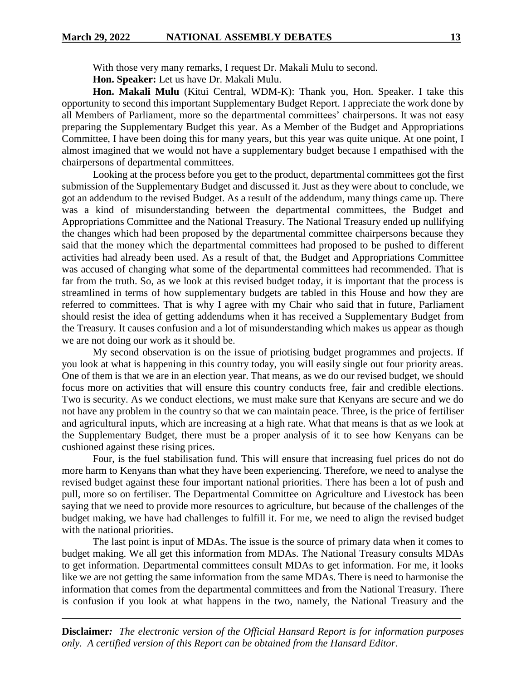With those very many remarks, I request Dr. Makali Mulu to second.

**Hon. Speaker:** Let us have Dr. Makali Mulu.

**Hon. Makali Mulu** (Kitui Central, WDM-K): Thank you, Hon. Speaker. I take this opportunity to second this important Supplementary Budget Report. I appreciate the work done by all Members of Parliament, more so the departmental committees' chairpersons. It was not easy preparing the Supplementary Budget this year. As a Member of the Budget and Appropriations Committee, I have been doing this for many years, but this year was quite unique. At one point, I almost imagined that we would not have a supplementary budget because I empathised with the chairpersons of departmental committees.

Looking at the process before you get to the product, departmental committees got the first submission of the Supplementary Budget and discussed it. Just as they were about to conclude, we got an addendum to the revised Budget. As a result of the addendum, many things came up. There was a kind of misunderstanding between the departmental committees, the Budget and Appropriations Committee and the National Treasury. The National Treasury ended up nullifying the changes which had been proposed by the departmental committee chairpersons because they said that the money which the departmental committees had proposed to be pushed to different activities had already been used. As a result of that, the Budget and Appropriations Committee was accused of changing what some of the departmental committees had recommended. That is far from the truth. So, as we look at this revised budget today, it is important that the process is streamlined in terms of how supplementary budgets are tabled in this House and how they are referred to committees. That is why I agree with my Chair who said that in future, Parliament should resist the idea of getting addendums when it has received a Supplementary Budget from the Treasury. It causes confusion and a lot of misunderstanding which makes us appear as though we are not doing our work as it should be.

My second observation is on the issue of priotising budget programmes and projects. If you look at what is happening in this country today, you will easily single out four priority areas. One of them is that we are in an election year. That means, as we do our revised budget, we should focus more on activities that will ensure this country conducts free, fair and credible elections. Two is security. As we conduct elections, we must make sure that Kenyans are secure and we do not have any problem in the country so that we can maintain peace. Three, is the price of fertiliser and agricultural inputs, which are increasing at a high rate. What that means is that as we look at the Supplementary Budget, there must be a proper analysis of it to see how Kenyans can be cushioned against these rising prices.

Four, is the fuel stabilisation fund. This will ensure that increasing fuel prices do not do more harm to Kenyans than what they have been experiencing. Therefore, we need to analyse the revised budget against these four important national priorities. There has been a lot of push and pull, more so on fertiliser. The Departmental Committee on Agriculture and Livestock has been saying that we need to provide more resources to agriculture, but because of the challenges of the budget making, we have had challenges to fulfill it. For me, we need to align the revised budget with the national priorities.

The last point is input of MDAs. The issue is the source of primary data when it comes to budget making. We all get this information from MDAs. The National Treasury consults MDAs to get information. Departmental committees consult MDAs to get information. For me, it looks like we are not getting the same information from the same MDAs. There is need to harmonise the information that comes from the departmental committees and from the National Treasury. There is confusion if you look at what happens in the two, namely, the National Treasury and the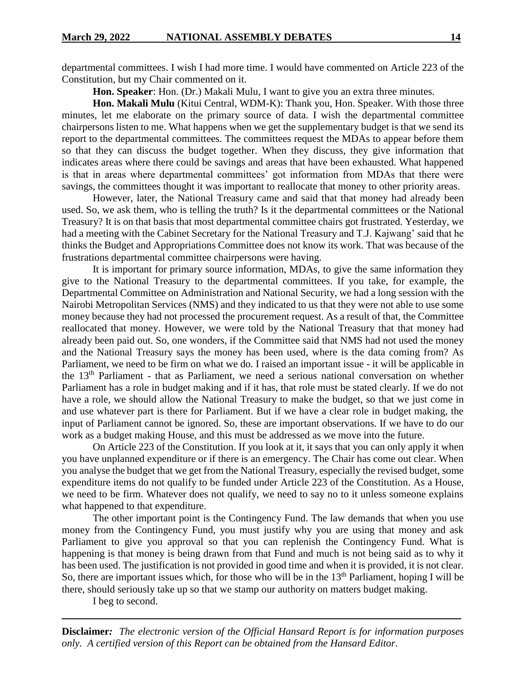departmental committees. I wish I had more time. I would have commented on Article 223 of the Constitution, but my Chair commented on it.

**Hon. Speaker**: Hon. (Dr.) Makali Mulu, I want to give you an extra three minutes.

**Hon. Makali Mulu** (Kitui Central, WDM-K): Thank you, Hon. Speaker. With those three minutes, let me elaborate on the primary source of data. I wish the departmental committee chairpersons listen to me. What happens when we get the supplementary budget is that we send its report to the departmental committees. The committees request the MDAs to appear before them so that they can discuss the budget together. When they discuss, they give information that indicates areas where there could be savings and areas that have been exhausted. What happened is that in areas where departmental committees' got information from MDAs that there were savings, the committees thought it was important to reallocate that money to other priority areas.

However, later, the National Treasury came and said that that money had already been used. So, we ask them, who is telling the truth? Is it the departmental committees or the National Treasury? It is on that basis that most departmental committee chairs got frustrated. Yesterday, we had a meeting with the Cabinet Secretary for the National Treasury and T.J. Kajwang' said that he thinks the Budget and Appropriations Committee does not know its work. That was because of the frustrations departmental committee chairpersons were having.

It is important for primary source information, MDAs, to give the same information they give to the National Treasury to the departmental committees. If you take, for example, the Departmental Committee on Administration and National Security, we had a long session with the Nairobi Metropolitan Services (NMS) and they indicated to us that they were not able to use some money because they had not processed the procurement request. As a result of that, the Committee reallocated that money. However, we were told by the National Treasury that that money had already been paid out. So, one wonders, if the Committee said that NMS had not used the money and the National Treasury says the money has been used, where is the data coming from? As Parliament, we need to be firm on what we do. I raised an important issue - it will be applicable in the 13th Parliament - that as Parliament, we need a serious national conversation on whether Parliament has a role in budget making and if it has, that role must be stated clearly. If we do not have a role, we should allow the National Treasury to make the budget, so that we just come in and use whatever part is there for Parliament. But if we have a clear role in budget making, the input of Parliament cannot be ignored. So, these are important observations. If we have to do our work as a budget making House, and this must be addressed as we move into the future.

On Article 223 of the Constitution. If you look at it, it says that you can only apply it when you have unplanned expenditure or if there is an emergency. The Chair has come out clear. When you analyse the budget that we get from the National Treasury, especially the revised budget, some expenditure items do not qualify to be funded under Article 223 of the Constitution. As a House, we need to be firm. Whatever does not qualify, we need to say no to it unless someone explains what happened to that expenditure.

The other important point is the Contingency Fund. The law demands that when you use money from the Contingency Fund, you must justify why you are using that money and ask Parliament to give you approval so that you can replenish the Contingency Fund. What is happening is that money is being drawn from that Fund and much is not being said as to why it has been used. The justification is not provided in good time and when it is provided, it is not clear. So, there are important issues which, for those who will be in the  $13<sup>th</sup>$  Parliament, hoping I will be there, should seriously take up so that we stamp our authority on matters budget making.

I beg to second.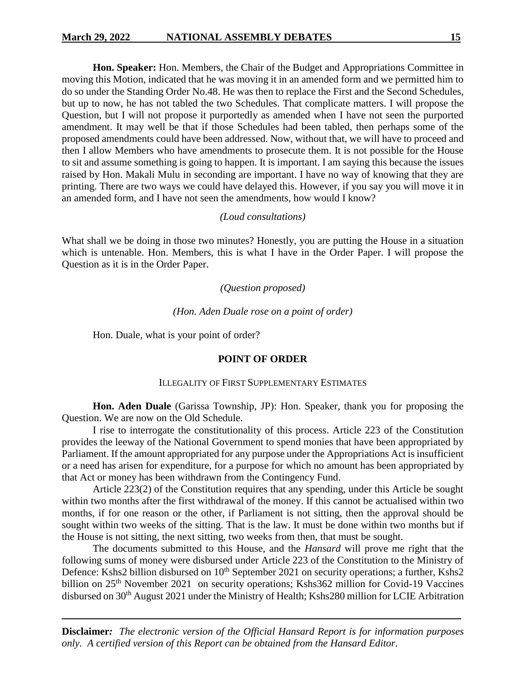**Hon. Speaker:** Hon. Members, the Chair of the Budget and Appropriations Committee in moving this Motion, indicated that he was moving it in an amended form and we permitted him to do so under the Standing Order No.48. He was then to replace the First and the Second Schedules, but up to now, he has not tabled the two Schedules. That complicate matters. I will propose the Question, but I will not propose it purportedly as amended when I have not seen the purported amendment. It may well be that if those Schedules had been tabled, then perhaps some of the proposed amendments could have been addressed. Now, without that, we will have to proceed and then I allow Members who have amendments to prosecute them. It is not possible for the House to sit and assume something is going to happen. It is important. I am saying this because the issues raised by Hon. Makali Mulu in seconding are important. I have no way of knowing that they are printing. There are two ways we could have delayed this. However, if you say you will move it in an amended form, and I have not seen the amendments, how would I know?

### *(Loud consultations)*

What shall we be doing in those two minutes? Honestly, you are putting the House in a situation which is untenable. Hon. Members, this is what I have in the Order Paper. I will propose the Question as it is in the Order Paper.

# *(Question proposed)*

*(Hon. Aden Duale rose on a point of order)*

Hon. Duale, what is your point of order?

### **POINT OF ORDER**

### ILLEGALITY OF FIRST SUPPLEMENTARY ESTIMATES

**Hon. Aden Duale** (Garissa Township, JP): Hon. Speaker, thank you for proposing the Question. We are now on the Old Schedule.

I rise to interrogate the constitutionality of this process. Article 223 of the Constitution provides the leeway of the National Government to spend monies that have been appropriated by Parliament. If the amount appropriated for any purpose under the Appropriations Act is insufficient or a need has arisen for expenditure, for a purpose for which no amount has been appropriated by that Act or money has been withdrawn from the Contingency Fund.

Article 223(2) of the Constitution requires that any spending, under this Article be sought within two months after the first withdrawal of the money. If this cannot be actualised within two months, if for one reason or the other, if Parliament is not sitting, then the approval should be sought within two weeks of the sitting. That is the law. It must be done within two months but if the House is not sitting, the next sitting, two weeks from then, that must be sought.

The documents submitted to this House, and the *Hansard* will prove me right that the following sums of money were disbursed under Article 223 of the Constitution to the Ministry of Defence: Kshs2 billion disbursed on 10<sup>th</sup> September 2021 on security operations; a further, Kshs2 billion on 25<sup>th</sup> November 2021 on security operations; Kshs362 million for Covid-19 Vaccines disbursed on 30<sup>th</sup> August 2021 under the Ministry of Health; Kshs280 million for LCIE Arbitration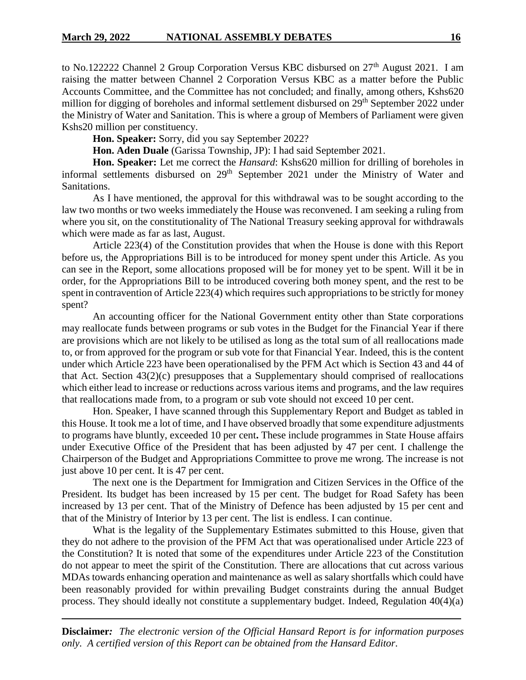to No.122222 Channel 2 Group Corporation Versus KBC disbursed on 27<sup>th</sup> August 2021. I am raising the matter between Channel 2 Corporation Versus KBC as a matter before the Public Accounts Committee, and the Committee has not concluded; and finally, among others, Kshs620 million for digging of boreholes and informal settlement disbursed on 29<sup>th</sup> September 2022 under the Ministry of Water and Sanitation. This is where a group of Members of Parliament were given Kshs20 million per constituency.

**Hon. Speaker:** Sorry, did you say September 2022?

**Hon. Aden Duale** (Garissa Township, JP): I had said September 2021.

**Hon. Speaker:** Let me correct the *Hansard*: Kshs620 million for drilling of boreholes in informal settlements disbursed on 29<sup>th</sup> September 2021 under the Ministry of Water and Sanitations.

As I have mentioned, the approval for this withdrawal was to be sought according to the law two months or two weeks immediately the House was reconvened. I am seeking a ruling from where you sit, on the constitutionality of The National Treasury seeking approval for withdrawals which were made as far as last, August.

Article 223(4) of the Constitution provides that when the House is done with this Report before us, the Appropriations Bill is to be introduced for money spent under this Article. As you can see in the Report, some allocations proposed will be for money yet to be spent. Will it be in order, for the Appropriations Bill to be introduced covering both money spent, and the rest to be spent in contravention of Article 223(4) which requires such appropriations to be strictly for money spent?

An accounting officer for the National Government entity other than State corporations may reallocate funds between programs or sub votes in the Budget for the Financial Year if there are provisions which are not likely to be utilised as long as the total sum of all reallocations made to, or from approved for the program or sub vote for that Financial Year. Indeed, this is the content under which Article 223 have been operationalised by the PFM Act which is Section 43 and 44 of that Act. Section 43(2)(c) presupposes that a Supplementary should comprised of reallocations which either lead to increase or reductions across various items and programs, and the law requires that reallocations made from, to a program or sub vote should not exceed 10 per cent.

Hon. Speaker, I have scanned through this Supplementary Report and Budget as tabled in this House. It took me a lot of time, and I have observed broadly that some expenditure adjustments to programs have bluntly, exceeded 10 per cent**.** These include programmes in State House affairs under Executive Office of the President that has been adjusted by 47 per cent. I challenge the Chairperson of the Budget and Appropriations Committee to prove me wrong. The increase is not just above 10 per cent. It is 47 per cent.

The next one is the Department for Immigration and Citizen Services in the Office of the President. Its budget has been increased by 15 per cent. The budget for Road Safety has been increased by 13 per cent. That of the Ministry of Defence has been adjusted by 15 per cent and that of the Ministry of Interior by 13 per cent. The list is endless. I can continue.

What is the legality of the Supplementary Estimates submitted to this House, given that they do not adhere to the provision of the PFM Act that was operationalised under Article 223 of the Constitution? It is noted that some of the expenditures under Article 223 of the Constitution do not appear to meet the spirit of the Constitution. There are allocations that cut across various MDAs towards enhancing operation and maintenance as well as salary shortfalls which could have been reasonably provided for within prevailing Budget constraints during the annual Budget process. They should ideally not constitute a supplementary budget. Indeed, Regulation 40(4)(a)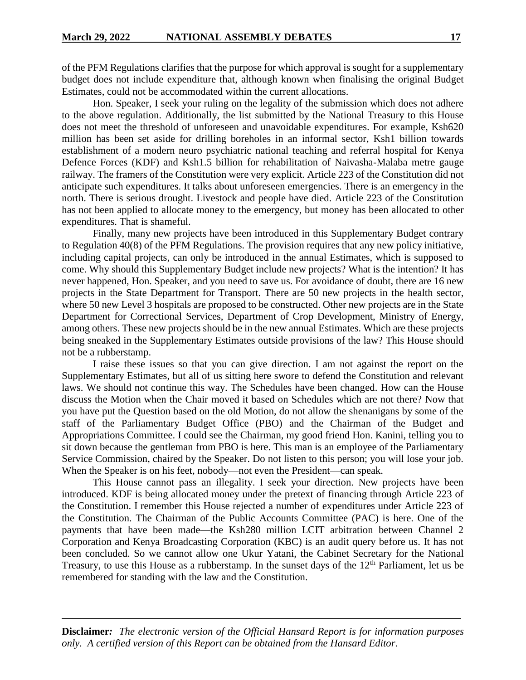of the PFM Regulations clarifies that the purpose for which approval is sought for a supplementary budget does not include expenditure that, although known when finalising the original Budget Estimates, could not be accommodated within the current allocations.

Hon. Speaker, I seek your ruling on the legality of the submission which does not adhere to the above regulation. Additionally, the list submitted by the National Treasury to this House does not meet the threshold of unforeseen and unavoidable expenditures. For example, Ksh620 million has been set aside for drilling boreholes in an informal sector, Ksh1 billion towards establishment of a modern neuro psychiatric national teaching and referral hospital for Kenya Defence Forces (KDF) and Ksh1.5 billion for rehabilitation of Naivasha-Malaba metre gauge railway. The framers of the Constitution were very explicit. Article 223 of the Constitution did not anticipate such expenditures. It talks about unforeseen emergencies. There is an emergency in the north. There is serious drought. Livestock and people have died. Article 223 of the Constitution has not been applied to allocate money to the emergency, but money has been allocated to other expenditures. That is shameful.

Finally, many new projects have been introduced in this Supplementary Budget contrary to Regulation 40(8) of the PFM Regulations. The provision requires that any new policy initiative, including capital projects, can only be introduced in the annual Estimates, which is supposed to come. Why should this Supplementary Budget include new projects? What is the intention? It has never happened, Hon. Speaker, and you need to save us. For avoidance of doubt, there are 16 new projects in the State Department for Transport. There are 50 new projects in the health sector, where 50 new Level 3 hospitals are proposed to be constructed. Other new projects are in the State Department for Correctional Services, Department of Crop Development, Ministry of Energy, among others. These new projects should be in the new annual Estimates. Which are these projects being sneaked in the Supplementary Estimates outside provisions of the law? This House should not be a rubberstamp.

I raise these issues so that you can give direction. I am not against the report on the Supplementary Estimates, but all of us sitting here swore to defend the Constitution and relevant laws. We should not continue this way. The Schedules have been changed. How can the House discuss the Motion when the Chair moved it based on Schedules which are not there? Now that you have put the Question based on the old Motion, do not allow the shenanigans by some of the staff of the Parliamentary Budget Office (PBO) and the Chairman of the Budget and Appropriations Committee. I could see the Chairman, my good friend Hon. Kanini, telling you to sit down because the gentleman from PBO is here. This man is an employee of the Parliamentary Service Commission, chaired by the Speaker. Do not listen to this person; you will lose your job. When the Speaker is on his feet, nobody—not even the President—can speak.

This House cannot pass an illegality. I seek your direction. New projects have been introduced. KDF is being allocated money under the pretext of financing through Article 223 of the Constitution. I remember this House rejected a number of expenditures under Article 223 of the Constitution. The Chairman of the Public Accounts Committee (PAC) is here. One of the payments that have been made—the Ksh280 million LCIT arbitration between Channel 2 Corporation and Kenya Broadcasting Corporation (KBC) is an audit query before us. It has not been concluded. So we cannot allow one Ukur Yatani, the Cabinet Secretary for the National Treasury, to use this House as a rubberstamp. In the sunset days of the 12<sup>th</sup> Parliament, let us be remembered for standing with the law and the Constitution.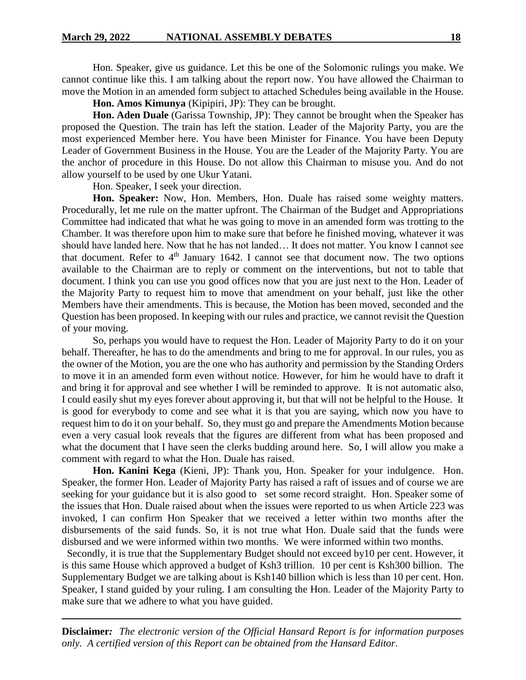Hon. Speaker, give us guidance. Let this be one of the Solomonic rulings you make. We cannot continue like this. I am talking about the report now. You have allowed the Chairman to move the Motion in an amended form subject to attached Schedules being available in the House.

**Hon. Amos Kimunya** (Kipipiri, JP): They can be brought.

**Hon. Aden Duale** (Garissa Township, JP): They cannot be brought when the Speaker has proposed the Question. The train has left the station. Leader of the Majority Party, you are the most experienced Member here. You have been Minister for Finance. You have been Deputy Leader of Government Business in the House. You are the Leader of the Majority Party. You are the anchor of procedure in this House. Do not allow this Chairman to misuse you. And do not allow yourself to be used by one Ukur Yatani.

Hon. Speaker, I seek your direction.

**Hon. Speaker:** Now, Hon. Members, Hon. Duale has raised some weighty matters. Procedurally, let me rule on the matter upfront. The Chairman of the Budget and Appropriations Committee had indicated that what he was going to move in an amended form was trotting to the Chamber. It was therefore upon him to make sure that before he finished moving, whatever it was should have landed here. Now that he has not landed… It does not matter. You know I cannot see that document. Refer to  $4<sup>th</sup>$  January 1642. I cannot see that document now. The two options available to the Chairman are to reply or comment on the interventions, but not to table that document. I think you can use you good offices now that you are just next to the Hon. Leader of the Majority Party to request him to move that amendment on your behalf, just like the other Members have their amendments. This is because, the Motion has been moved, seconded and the Question has been proposed. In keeping with our rules and practice, we cannot revisit the Question of your moving.

So, perhaps you would have to request the Hon. Leader of Majority Party to do it on your behalf. Thereafter, he has to do the amendments and bring to me for approval. In our rules, you as the owner of the Motion, you are the one who has authority and permission by the Standing Orders to move it in an amended form even without notice. However, for him he would have to draft it and bring it for approval and see whether I will be reminded to approve. It is not automatic also, I could easily shut my eyes forever about approving it, but that will not be helpful to the House. It is good for everybody to come and see what it is that you are saying, which now you have to request him to do it on your behalf. So, they must go and prepare the Amendments Motion because even a very casual look reveals that the figures are different from what has been proposed and what the document that I have seen the clerks budding around here. So, I will allow you make a comment with regard to what the Hon. Duale has raised.

**Hon. Kanini Kega** (Kieni, JP): Thank you, Hon. Speaker for your indulgence. Hon. Speaker, the former Hon. Leader of Majority Party has raised a raft of issues and of course we are seeking for your guidance but it is also good to set some record straight. Hon. Speaker some of the issues that Hon. Duale raised about when the issues were reported to us when Article 223 was invoked, I can confirm Hon Speaker that we received a letter within two months after the disbursements of the said funds. So, it is not true what Hon. Duale said that the funds were disbursed and we were informed within two months. We were informed within two months.

 Secondly, it is true that the Supplementary Budget should not exceed by10 per cent. However, it is this same House which approved a budget of Ksh3 trillion. 10 per cent is Ksh300 billion. The Supplementary Budget we are talking about is Ksh140 billion which is less than 10 per cent. Hon. Speaker, I stand guided by your ruling. I am consulting the Hon. Leader of the Majority Party to make sure that we adhere to what you have guided.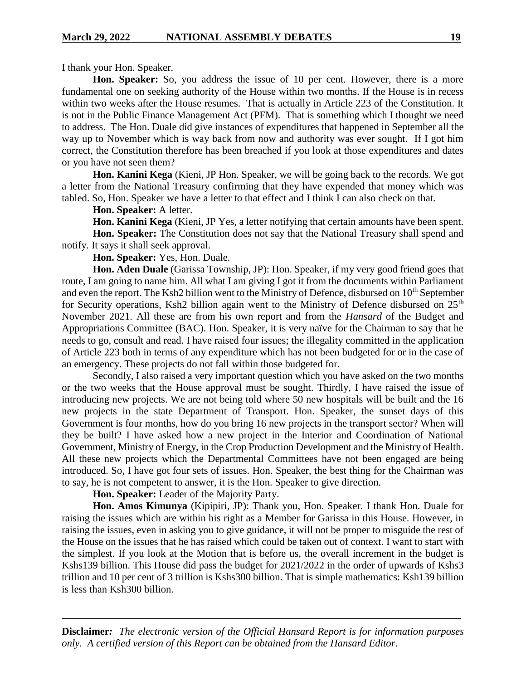I thank your Hon. Speaker.

**Hon. Speaker:** So, you address the issue of 10 per cent. However, there is a more fundamental one on seeking authority of the House within two months. If the House is in recess within two weeks after the House resumes. That is actually in Article 223 of the Constitution. It is not in the Public Finance Management Act (PFM). That is something which I thought we need to address. The Hon. Duale did give instances of expenditures that happened in September all the way up to November which is way back from now and authority was ever sought. If I got him correct, the Constitution therefore has been breached if you look at those expenditures and dates or you have not seen them?

**Hon. Kanini Kega** (Kieni, JP Hon. Speaker, we will be going back to the records. We got a letter from the National Treasury confirming that they have expended that money which was tabled. So, Hon. Speaker we have a letter to that effect and I think I can also check on that.

**Hon. Speaker:** A letter.

**Hon. Kanini Kega** (Kieni, JP Yes, a letter notifying that certain amounts have been spent. **Hon. Speaker:** The Constitution does not say that the National Treasury shall spend and notify. It says it shall seek approval.

**Hon. Speaker:** Yes, Hon. Duale.

**Hon. Aden Duale** (Garissa Township, JP): Hon. Speaker, if my very good friend goes that route, I am going to name him. All what I am giving I got it from the documents within Parliament and even the report. The Ksh2 billion went to the Ministry of Defence, disbursed on 10<sup>th</sup> September for Security operations, Ksh2 billion again went to the Ministry of Defence disbursed on  $25<sup>th</sup>$ November 2021. All these are from his own report and from the *Hansard* of the Budget and Appropriations Committee (BAC). Hon. Speaker, it is very naïve for the Chairman to say that he needs to go, consult and read. I have raised four issues; the illegality committed in the application of Article 223 both in terms of any expenditure which has not been budgeted for or in the case of an emergency. These projects do not fall within those budgeted for.

Secondly, I also raised a very important question which you have asked on the two months or the two weeks that the House approval must be sought. Thirdly, I have raised the issue of introducing new projects. We are not being told where 50 new hospitals will be built and the 16 new projects in the state Department of Transport. Hon. Speaker, the sunset days of this Government is four months, how do you bring 16 new projects in the transport sector? When will they be built? I have asked how a new project in the Interior and Coordination of National Government, Ministry of Energy, in the Crop Production Development and the Ministry of Health. All these new projects which the Departmental Committees have not been engaged are being introduced. So, I have got four sets of issues. Hon. Speaker, the best thing for the Chairman was to say, he is not competent to answer, it is the Hon. Speaker to give direction.

**Hon. Speaker:** Leader of the Majority Party.

**Hon. Amos Kimunya** (Kipipiri, JP): Thank you, Hon. Speaker. I thank Hon. Duale for raising the issues which are within his right as a Member for Garissa in this House. However, in raising the issues, even in asking you to give guidance, it will not be proper to misguide the rest of the House on the issues that he has raised which could be taken out of context. I want to start with the simplest. If you look at the Motion that is before us, the overall increment in the budget is Kshs139 billion. This House did pass the budget for 2021/2022 in the order of upwards of Kshs3 trillion and 10 per cent of 3 trillion is Kshs300 billion. That is simple mathematics: Ksh139 billion is less than Ksh300 billion.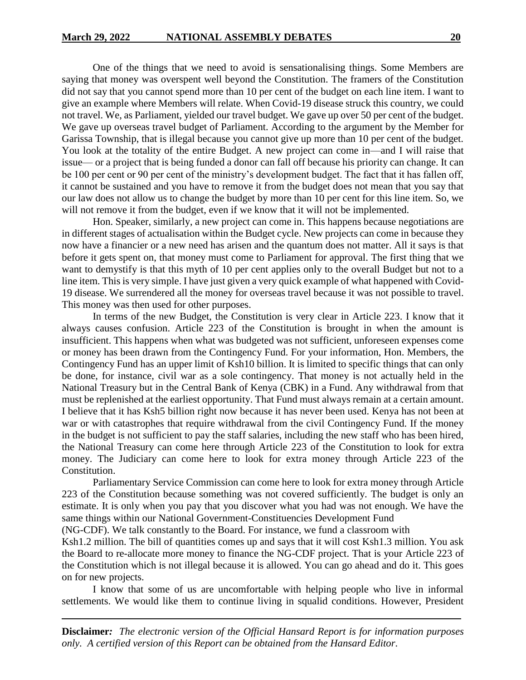One of the things that we need to avoid is sensationalising things. Some Members are saying that money was overspent well beyond the Constitution. The framers of the Constitution did not say that you cannot spend more than 10 per cent of the budget on each line item. I want to give an example where Members will relate. When Covid-19 disease struck this country, we could not travel. We, as Parliament, yielded our travel budget. We gave up over 50 per cent of the budget. We gave up overseas travel budget of Parliament. According to the argument by the Member for Garissa Township, that is illegal because you cannot give up more than 10 per cent of the budget. You look at the totality of the entire Budget. A new project can come in—and I will raise that issue— or a project that is being funded a donor can fall off because his priority can change. It can be 100 per cent or 90 per cent of the ministry's development budget. The fact that it has fallen off, it cannot be sustained and you have to remove it from the budget does not mean that you say that our law does not allow us to change the budget by more than 10 per cent for this line item. So, we will not remove it from the budget, even if we know that it will not be implemented.

Hon. Speaker, similarly, a new project can come in. This happens because negotiations are in different stages of actualisation within the Budget cycle. New projects can come in because they now have a financier or a new need has arisen and the quantum does not matter. All it says is that before it gets spent on, that money must come to Parliament for approval. The first thing that we want to demystify is that this myth of 10 per cent applies only to the overall Budget but not to a line item. This is very simple. I have just given a very quick example of what happened with Covid-19 disease. We surrendered all the money for overseas travel because it was not possible to travel. This money was then used for other purposes.

In terms of the new Budget, the Constitution is very clear in Article 223. I know that it always causes confusion. Article 223 of the Constitution is brought in when the amount is insufficient. This happens when what was budgeted was not sufficient, unforeseen expenses come or money has been drawn from the Contingency Fund. For your information, Hon. Members, the Contingency Fund has an upper limit of Ksh10 billion. It is limited to specific things that can only be done, for instance, civil war as a sole contingency. That money is not actually held in the National Treasury but in the Central Bank of Kenya (CBK) in a Fund. Any withdrawal from that must be replenished at the earliest opportunity. That Fund must always remain at a certain amount. I believe that it has Ksh5 billion right now because it has never been used. Kenya has not been at war or with catastrophes that require withdrawal from the civil Contingency Fund. If the money in the budget is not sufficient to pay the staff salaries, including the new staff who has been hired, the National Treasury can come here through Article 223 of the Constitution to look for extra money. The Judiciary can come here to look for extra money through Article 223 of the Constitution.

Parliamentary Service Commission can come here to look for extra money through Article 223 of the Constitution because something was not covered sufficiently. The budget is only an estimate. It is only when you pay that you discover what you had was not enough. We have the same things within our National Government-Constituencies Development Fund

(NG-CDF). We talk constantly to the Board. For instance, we fund a classroom with

Ksh1.2 million. The bill of quantities comes up and says that it will cost Ksh1.3 million. You ask the Board to re-allocate more money to finance the NG-CDF project. That is your Article 223 of the Constitution which is not illegal because it is allowed. You can go ahead and do it. This goes on for new projects.

I know that some of us are uncomfortable with helping people who live in informal settlements. We would like them to continue living in squalid conditions. However, President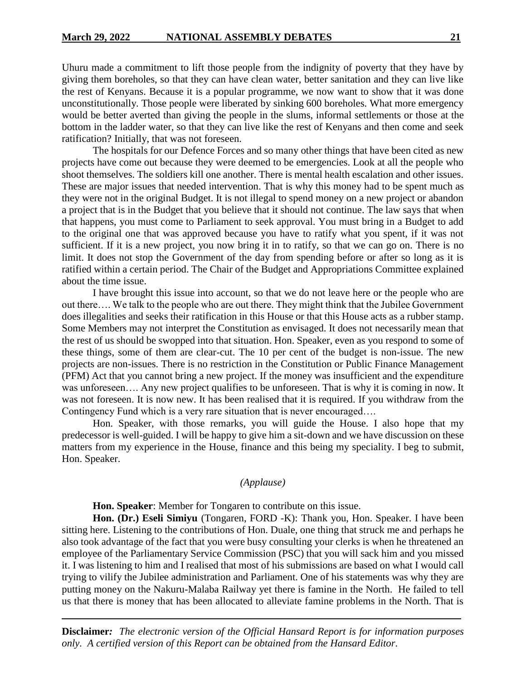Uhuru made a commitment to lift those people from the indignity of poverty that they have by giving them boreholes, so that they can have clean water, better sanitation and they can live like the rest of Kenyans. Because it is a popular programme, we now want to show that it was done unconstitutionally. Those people were liberated by sinking 600 boreholes. What more emergency would be better averted than giving the people in the slums, informal settlements or those at the bottom in the ladder water, so that they can live like the rest of Kenyans and then come and seek ratification? Initially, that was not foreseen.

The hospitals for our Defence Forces and so many other things that have been cited as new projects have come out because they were deemed to be emergencies. Look at all the people who shoot themselves. The soldiers kill one another. There is mental health escalation and other issues. These are major issues that needed intervention. That is why this money had to be spent much as they were not in the original Budget. It is not illegal to spend money on a new project or abandon a project that is in the Budget that you believe that it should not continue. The law says that when that happens, you must come to Parliament to seek approval. You must bring in a Budget to add to the original one that was approved because you have to ratify what you spent, if it was not sufficient. If it is a new project, you now bring it in to ratify, so that we can go on. There is no limit. It does not stop the Government of the day from spending before or after so long as it is ratified within a certain period. The Chair of the Budget and Appropriations Committee explained about the time issue.

I have brought this issue into account, so that we do not leave here or the people who are out there…. We talk to the people who are out there. They might think that the Jubilee Government does illegalities and seeks their ratification in this House or that this House acts as a rubber stamp. Some Members may not interpret the Constitution as envisaged. It does not necessarily mean that the rest of us should be swopped into that situation. Hon. Speaker, even as you respond to some of these things, some of them are clear-cut. The 10 per cent of the budget is non-issue. The new projects are non-issues. There is no restriction in the Constitution or Public Finance Management (PFM) Act that you cannot bring a new project. If the money was insufficient and the expenditure was unforeseen…. Any new project qualifies to be unforeseen. That is why it is coming in now. It was not foreseen. It is now new. It has been realised that it is required. If you withdraw from the Contingency Fund which is a very rare situation that is never encouraged….

Hon. Speaker, with those remarks, you will guide the House. I also hope that my predecessor is well-guided. I will be happy to give him a sit-down and we have discussion on these matters from my experience in the House, finance and this being my speciality. I beg to submit, Hon. Speaker.

### *(Applause)*

**Hon. Speaker**: Member for Tongaren to contribute on this issue.

**Hon. (Dr.) Eseli Simiyu** (Tongaren, FORD -K): Thank you, Hon. Speaker. I have been sitting here. Listening to the contributions of Hon. Duale, one thing that struck me and perhaps he also took advantage of the fact that you were busy consulting your clerks is when he threatened an employee of the Parliamentary Service Commission (PSC) that you will sack him and you missed it. I was listening to him and I realised that most of his submissions are based on what I would call trying to vilify the Jubilee administration and Parliament. One of his statements was why they are putting money on the Nakuru-Malaba Railway yet there is famine in the North. He failed to tell us that there is money that has been allocated to alleviate famine problems in the North. That is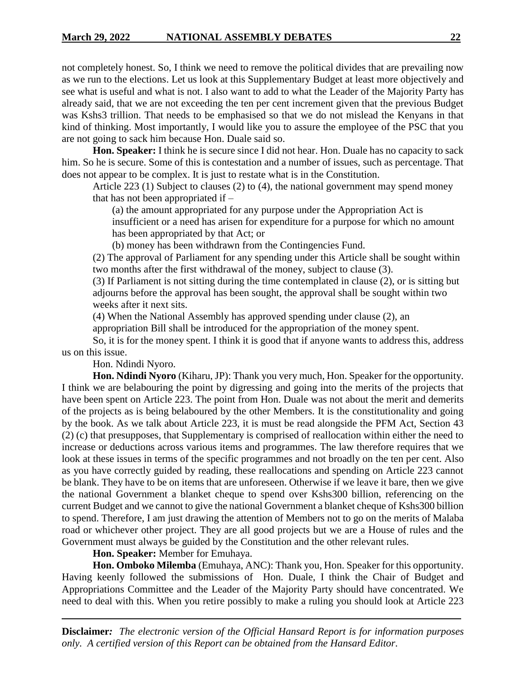not completely honest. So, I think we need to remove the political divides that are prevailing now as we run to the elections. Let us look at this Supplementary Budget at least more objectively and see what is useful and what is not. I also want to add to what the Leader of the Majority Party has already said, that we are not exceeding the ten per cent increment given that the previous Budget was Kshs3 trillion. That needs to be emphasised so that we do not mislead the Kenyans in that kind of thinking. Most importantly, I would like you to assure the employee of the PSC that you are not going to sack him because Hon. Duale said so.

**Hon. Speaker:** I think he is secure since I did not hear. Hon. Duale has no capacity to sack him. So he is secure. Some of this is contestation and a number of issues, such as percentage. That does not appear to be complex. It is just to restate what is in the Constitution.

Article 223 (1) Subject to clauses (2) to (4), the national government may spend money that has not been appropriated if –

(a) the amount appropriated for any purpose under the Appropriation Act is

insufficient or a need has arisen for expenditure for a purpose for which no amount has been appropriated by that Act; or

(b) money has been withdrawn from the Contingencies Fund.

(2) The approval of Parliament for any spending under this Article shall be sought within two months after the first withdrawal of the money, subject to clause (3).

(3) If Parliament is not sitting during the time contemplated in clause (2), or is sitting but adjourns before the approval has been sought, the approval shall be sought within two weeks after it next sits.

(4) When the National Assembly has approved spending under clause (2), an

appropriation Bill shall be introduced for the appropriation of the money spent.

So, it is for the money spent. I think it is good that if anyone wants to address this, address us on this issue.

Hon. Ndindi Nyoro.

**Hon. Ndindi Nyoro** (Kiharu, JP): Thank you very much, Hon. Speaker for the opportunity. I think we are belabouring the point by digressing and going into the merits of the projects that have been spent on Article 223. The point from Hon. Duale was not about the merit and demerits of the projects as is being belaboured by the other Members. It is the constitutionality and going by the book. As we talk about Article 223, it is must be read alongside the PFM Act, Section 43 (2) (c) that presupposes, that Supplementary is comprised of reallocation within either the need to increase or deductions across various items and programmes. The law therefore requires that we look at these issues in terms of the specific programmes and not broadly on the ten per cent. Also as you have correctly guided by reading, these reallocations and spending on Article 223 cannot be blank. They have to be on items that are unforeseen. Otherwise if we leave it bare, then we give the national Government a blanket cheque to spend over Kshs300 billion, referencing on the current Budget and we cannot to give the national Government a blanket cheque of Kshs300 billion to spend. Therefore, I am just drawing the attention of Members not to go on the merits of Malaba road or whichever other project. They are all good projects but we are a House of rules and the Government must always be guided by the Constitution and the other relevant rules.

# **Hon. Speaker:** Member for Emuhaya.

**Hon. Omboko Milemba** (Emuhaya, ANC): Thank you, Hon. Speaker for this opportunity. Having keenly followed the submissions of Hon. Duale, I think the Chair of Budget and Appropriations Committee and the Leader of the Majority Party should have concentrated. We need to deal with this. When you retire possibly to make a ruling you should look at Article 223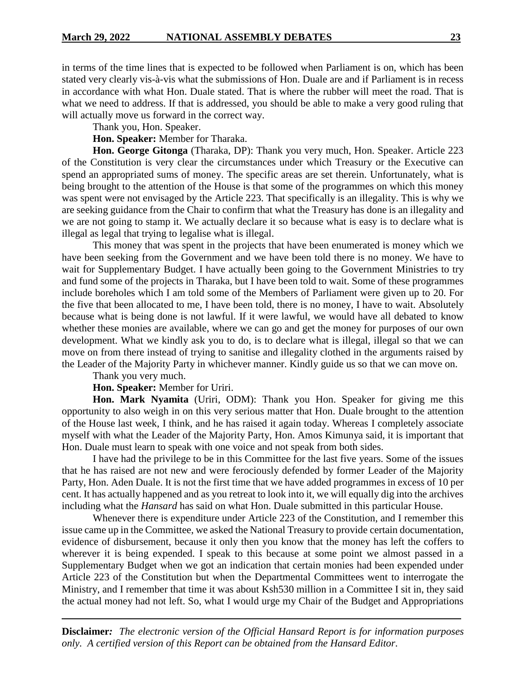in terms of the time lines that is expected to be followed when Parliament is on, which has been stated very clearly vis-à-vis what the submissions of Hon. Duale are and if Parliament is in recess in accordance with what Hon. Duale stated. That is where the rubber will meet the road. That is what we need to address. If that is addressed, you should be able to make a very good ruling that will actually move us forward in the correct way.

Thank you, Hon. Speaker.

**Hon. Speaker:** Member for Tharaka.

**Hon. George Gitonga** (Tharaka, DP): Thank you very much, Hon. Speaker. Article 223 of the Constitution is very clear the circumstances under which Treasury or the Executive can spend an appropriated sums of money. The specific areas are set therein. Unfortunately, what is being brought to the attention of the House is that some of the programmes on which this money was spent were not envisaged by the Article 223. That specifically is an illegality. This is why we are seeking guidance from the Chair to confirm that what the Treasury has done is an illegality and we are not going to stamp it. We actually declare it so because what is easy is to declare what is illegal as legal that trying to legalise what is illegal.

This money that was spent in the projects that have been enumerated is money which we have been seeking from the Government and we have been told there is no money. We have to wait for Supplementary Budget. I have actually been going to the Government Ministries to try and fund some of the projects in Tharaka, but I have been told to wait. Some of these programmes include boreholes which I am told some of the Members of Parliament were given up to 20. For the five that been allocated to me, I have been told, there is no money, I have to wait. Absolutely because what is being done is not lawful. If it were lawful, we would have all debated to know whether these monies are available, where we can go and get the money for purposes of our own development. What we kindly ask you to do, is to declare what is illegal, illegal so that we can move on from there instead of trying to sanitise and illegality clothed in the arguments raised by the Leader of the Majority Party in whichever manner. Kindly guide us so that we can move on.

Thank you very much.

**Hon. Speaker:** Member for Uriri.

**Hon. Mark Nyamita** (Uriri, ODM): Thank you Hon. Speaker for giving me this opportunity to also weigh in on this very serious matter that Hon. Duale brought to the attention of the House last week, I think, and he has raised it again today. Whereas I completely associate myself with what the Leader of the Majority Party, Hon. Amos Kimunya said, it is important that Hon. Duale must learn to speak with one voice and not speak from both sides.

I have had the privilege to be in this Committee for the last five years. Some of the issues that he has raised are not new and were ferociously defended by former Leader of the Majority Party, Hon. Aden Duale. It is not the first time that we have added programmes in excess of 10 per cent. It has actually happened and as you retreat to look into it, we will equally dig into the archives including what the *Hansard* has said on what Hon. Duale submitted in this particular House.

Whenever there is expenditure under Article 223 of the Constitution, and I remember this issue came up in the Committee, we asked the National Treasury to provide certain documentation, evidence of disbursement, because it only then you know that the money has left the coffers to wherever it is being expended. I speak to this because at some point we almost passed in a Supplementary Budget when we got an indication that certain monies had been expended under Article 223 of the Constitution but when the Departmental Committees went to interrogate the Ministry, and I remember that time it was about Ksh530 million in a Committee I sit in, they said the actual money had not left. So, what I would urge my Chair of the Budget and Appropriations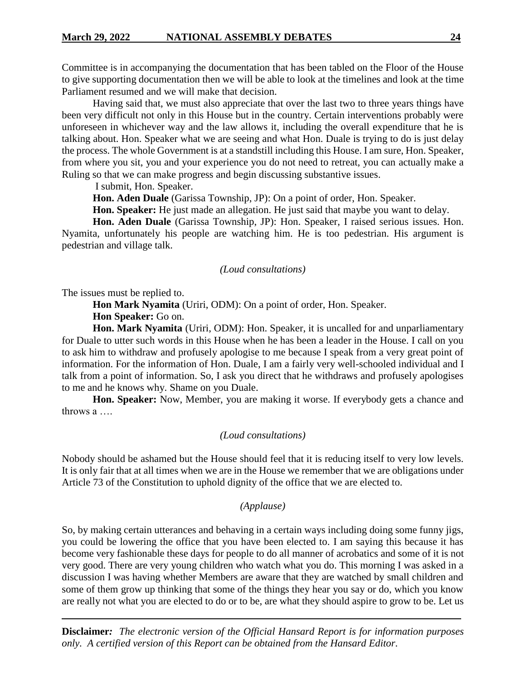Committee is in accompanying the documentation that has been tabled on the Floor of the House to give supporting documentation then we will be able to look at the timelines and look at the time Parliament resumed and we will make that decision.

Having said that, we must also appreciate that over the last two to three years things have been very difficult not only in this House but in the country. Certain interventions probably were unforeseen in whichever way and the law allows it, including the overall expenditure that he is talking about. Hon. Speaker what we are seeing and what Hon. Duale is trying to do is just delay the process. The whole Government is at a standstill including this House. I am sure, Hon. Speaker, from where you sit, you and your experience you do not need to retreat, you can actually make a Ruling so that we can make progress and begin discussing substantive issues.

I submit, Hon. Speaker.

**Hon. Aden Duale** (Garissa Township, JP): On a point of order, Hon. Speaker.

**Hon. Speaker:** He just made an allegation. He just said that maybe you want to delay.

**Hon. Aden Duale** (Garissa Township, JP): Hon. Speaker, I raised serious issues. Hon. Nyamita, unfortunately his people are watching him. He is too pedestrian. His argument is pedestrian and village talk.

#### *(Loud consultations)*

The issues must be replied to.

**Hon Mark Nyamita** (Uriri, ODM): On a point of order, Hon. Speaker.

**Hon Speaker:** Go on.

**Hon. Mark Nyamita** (Uriri, ODM): Hon. Speaker, it is uncalled for and unparliamentary for Duale to utter such words in this House when he has been a leader in the House. I call on you to ask him to withdraw and profusely apologise to me because I speak from a very great point of information. For the information of Hon. Duale, I am a fairly very well-schooled individual and I talk from a point of information. So, I ask you direct that he withdraws and profusely apologises to me and he knows why. Shame on you Duale.

**Hon. Speaker:** Now, Member, you are making it worse. If everybody gets a chance and throws a ….

#### *(Loud consultations)*

Nobody should be ashamed but the House should feel that it is reducing itself to very low levels. It is only fair that at all times when we are in the House we remember that we are obligations under Article 73 of the Constitution to uphold dignity of the office that we are elected to.

### *(Applause)*

So, by making certain utterances and behaving in a certain ways including doing some funny jigs, you could be lowering the office that you have been elected to. I am saying this because it has become very fashionable these days for people to do all manner of acrobatics and some of it is not very good. There are very young children who watch what you do. This morning I was asked in a discussion I was having whether Members are aware that they are watched by small children and some of them grow up thinking that some of the things they hear you say or do, which you know are really not what you are elected to do or to be, are what they should aspire to grow to be. Let us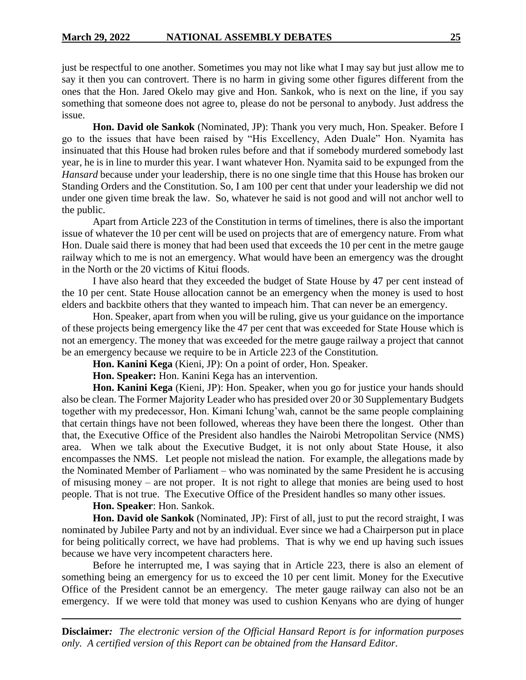just be respectful to one another. Sometimes you may not like what I may say but just allow me to say it then you can controvert. There is no harm in giving some other figures different from the ones that the Hon. Jared Okelo may give and Hon. Sankok, who is next on the line, if you say something that someone does not agree to, please do not be personal to anybody. Just address the issue.

**Hon. David ole Sankok** (Nominated, JP): Thank you very much, Hon. Speaker. Before I go to the issues that have been raised by "His Excellency, Aden Duale" Hon. Nyamita has insinuated that this House had broken rules before and that if somebody murdered somebody last year, he is in line to murder this year. I want whatever Hon. Nyamita said to be expunged from the *Hansard* because under your leadership, there is no one single time that this House has broken our Standing Orders and the Constitution. So, I am 100 per cent that under your leadership we did not under one given time break the law. So, whatever he said is not good and will not anchor well to the public.

Apart from Article 223 of the Constitution in terms of timelines, there is also the important issue of whatever the 10 per cent will be used on projects that are of emergency nature. From what Hon. Duale said there is money that had been used that exceeds the 10 per cent in the metre gauge railway which to me is not an emergency. What would have been an emergency was the drought in the North or the 20 victims of Kitui floods.

I have also heard that they exceeded the budget of State House by 47 per cent instead of the 10 per cent. State House allocation cannot be an emergency when the money is used to host elders and backbite others that they wanted to impeach him. That can never be an emergency.

Hon. Speaker, apart from when you will be ruling, give us your guidance on the importance of these projects being emergency like the 47 per cent that was exceeded for State House which is not an emergency. The money that was exceeded for the metre gauge railway a project that cannot be an emergency because we require to be in Article 223 of the Constitution.

**Hon. Kanini Kega** (Kieni, JP): On a point of order, Hon. Speaker.

**Hon. Speaker:** Hon. Kanini Kega has an intervention.

**Hon. Kanini Kega** (Kieni, JP): Hon. Speaker, when you go for justice your hands should also be clean. The Former Majority Leader who has presided over 20 or 30 Supplementary Budgets together with my predecessor, Hon. Kimani Ichung'wah, cannot be the same people complaining that certain things have not been followed, whereas they have been there the longest. Other than that, the Executive Office of the President also handles the Nairobi Metropolitan Service (NMS) area. When we talk about the Executive Budget, it is not only about State House, it also encompasses the NMS. Let people not mislead the nation. For example, the allegations made by the Nominated Member of Parliament – who was nominated by the same President he is accusing of misusing money – are not proper. It is not right to allege that monies are being used to host people. That is not true. The Executive Office of the President handles so many other issues.

**Hon. Speaker**: Hon. Sankok.

**Hon. David ole Sankok** (Nominated, JP): First of all, just to put the record straight, I was nominated by Jubilee Party and not by an individual. Ever since we had a Chairperson put in place for being politically correct, we have had problems. That is why we end up having such issues because we have very incompetent characters here.

Before he interrupted me, I was saying that in Article 223, there is also an element of something being an emergency for us to exceed the 10 per cent limit. Money for the Executive Office of the President cannot be an emergency. The meter gauge railway can also not be an emergency. If we were told that money was used to cushion Kenyans who are dying of hunger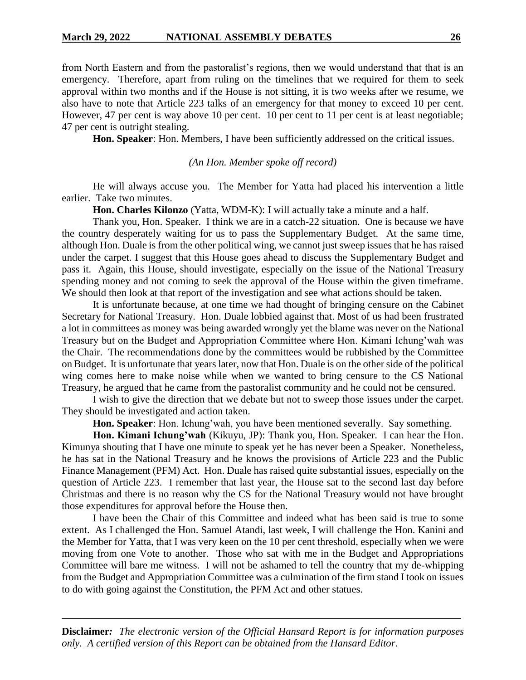from North Eastern and from the pastoralist's regions, then we would understand that that is an emergency. Therefore, apart from ruling on the timelines that we required for them to seek approval within two months and if the House is not sitting, it is two weeks after we resume, we also have to note that Article 223 talks of an emergency for that money to exceed 10 per cent. However, 47 per cent is way above 10 per cent. 10 per cent to 11 per cent is at least negotiable; 47 per cent is outright stealing.

**Hon. Speaker**: Hon. Members, I have been sufficiently addressed on the critical issues.

#### *(An Hon. Member spoke off record)*

He will always accuse you. The Member for Yatta had placed his intervention a little earlier. Take two minutes.

**Hon. Charles Kilonzo** (Yatta, WDM-K): I will actually take a minute and a half.

Thank you, Hon. Speaker. I think we are in a catch-22 situation. One is because we have the country desperately waiting for us to pass the Supplementary Budget. At the same time, although Hon. Duale is from the other political wing, we cannot just sweep issues that he has raised under the carpet. I suggest that this House goes ahead to discuss the Supplementary Budget and pass it. Again, this House, should investigate, especially on the issue of the National Treasury spending money and not coming to seek the approval of the House within the given timeframe. We should then look at that report of the investigation and see what actions should be taken.

It is unfortunate because, at one time we had thought of bringing censure on the Cabinet Secretary for National Treasury. Hon. Duale lobbied against that. Most of us had been frustrated a lot in committees as money was being awarded wrongly yet the blame was never on the National Treasury but on the Budget and Appropriation Committee where Hon. Kimani Ichung'wah was the Chair. The recommendations done by the committees would be rubbished by the Committee on Budget. It is unfortunate that years later, now that Hon. Duale is on the other side of the political wing comes here to make noise while when we wanted to bring censure to the CS National Treasury, he argued that he came from the pastoralist community and he could not be censured.

I wish to give the direction that we debate but not to sweep those issues under the carpet. They should be investigated and action taken.

**Hon. Speaker**: Hon. Ichung'wah, you have been mentioned severally. Say something.

**Hon. Kimani Ichung'wah** (Kikuyu, JP): Thank you, Hon. Speaker. I can hear the Hon. Kimunya shouting that I have one minute to speak yet he has never been a Speaker. Nonetheless, he has sat in the National Treasury and he knows the provisions of Article 223 and the Public Finance Management (PFM) Act. Hon. Duale has raised quite substantial issues, especially on the question of Article 223. I remember that last year, the House sat to the second last day before Christmas and there is no reason why the CS for the National Treasury would not have brought those expenditures for approval before the House then.

I have been the Chair of this Committee and indeed what has been said is true to some extent. As I challenged the Hon. Samuel Atandi, last week, I will challenge the Hon. Kanini and the Member for Yatta, that I was very keen on the 10 per cent threshold, especially when we were moving from one Vote to another. Those who sat with me in the Budget and Appropriations Committee will bare me witness. I will not be ashamed to tell the country that my de-whipping from the Budget and Appropriation Committee was a culmination of the firm stand I took on issues to do with going against the Constitution, the PFM Act and other statues.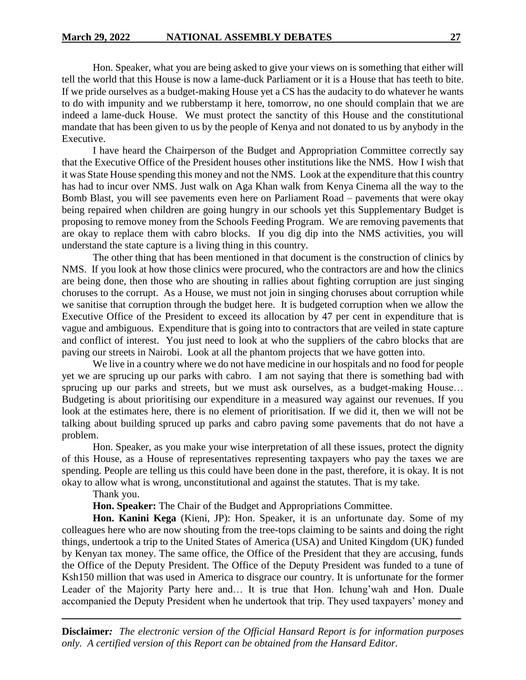Hon. Speaker, what you are being asked to give your views on is something that either will tell the world that this House is now a lame-duck Parliament or it is a House that has teeth to bite. If we pride ourselves as a budget-making House yet a CS has the audacity to do whatever he wants to do with impunity and we rubberstamp it here, tomorrow, no one should complain that we are indeed a lame-duck House. We must protect the sanctity of this House and the constitutional mandate that has been given to us by the people of Kenya and not donated to us by anybody in the Executive.

I have heard the Chairperson of the Budget and Appropriation Committee correctly say that the Executive Office of the President houses other institutions like the NMS. How I wish that it was State House spending this money and not the NMS. Look at the expenditure that this country has had to incur over NMS. Just walk on Aga Khan walk from Kenya Cinema all the way to the Bomb Blast, you will see pavements even here on Parliament Road – pavements that were okay being repaired when children are going hungry in our schools yet this Supplementary Budget is proposing to remove money from the Schools Feeding Program. We are removing pavements that are okay to replace them with cabro blocks. If you dig dip into the NMS activities, you will understand the state capture is a living thing in this country.

The other thing that has been mentioned in that document is the construction of clinics by NMS. If you look at how those clinics were procured, who the contractors are and how the clinics are being done, then those who are shouting in rallies about fighting corruption are just singing choruses to the corrupt. As a House, we must not join in singing choruses about corruption while we sanitise that corruption through the budget here. It is budgeted corruption when we allow the Executive Office of the President to exceed its allocation by 47 per cent in expenditure that is vague and ambiguous. Expenditure that is going into to contractors that are veiled in state capture and conflict of interest. You just need to look at who the suppliers of the cabro blocks that are paving our streets in Nairobi. Look at all the phantom projects that we have gotten into.

We live in a country where we do not have medicine in our hospitals and no food for people yet we are sprucing up our parks with cabro. I am not saying that there is something bad with sprucing up our parks and streets, but we must ask ourselves, as a budget-making House... Budgeting is about prioritising our expenditure in a measured way against our revenues. If you look at the estimates here, there is no element of prioritisation. If we did it, then we will not be talking about building spruced up parks and cabro paving some pavements that do not have a problem.

Hon. Speaker, as you make your wise interpretation of all these issues, protect the dignity of this House, as a House of representatives representing taxpayers who pay the taxes we are spending. People are telling us this could have been done in the past, therefore, it is okay. It is not okay to allow what is wrong, unconstitutional and against the statutes. That is my take.

Thank you.

**Hon. Speaker:** The Chair of the Budget and Appropriations Committee.

**Hon. Kanini Kega** (Kieni, JP): Hon. Speaker, it is an unfortunate day. Some of my colleagues here who are now shouting from the tree-tops claiming to be saints and doing the right things, undertook a trip to the United States of America (USA) and United Kingdom (UK) funded by Kenyan tax money. The same office, the Office of the President that they are accusing, funds the Office of the Deputy President. The Office of the Deputy President was funded to a tune of Ksh150 million that was used in America to disgrace our country. It is unfortunate for the former Leader of the Majority Party here and… It is true that Hon. Ichung'wah and Hon. Duale accompanied the Deputy President when he undertook that trip. They used taxpayers' money and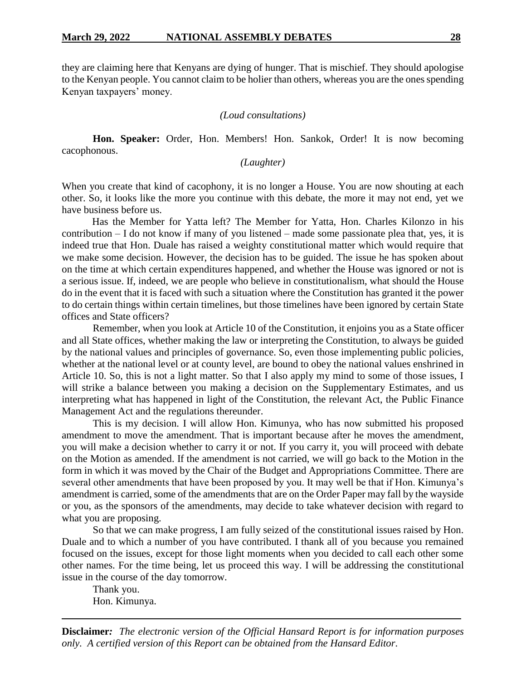they are claiming here that Kenyans are dying of hunger. That is mischief. They should apologise to the Kenyan people. You cannot claim to be holier than others, whereas you are the ones spending Kenyan taxpayers' money.

#### *(Loud consultations)*

**Hon. Speaker:** Order, Hon. Members! Hon. Sankok, Order! It is now becoming cacophonous.

*(Laughter)*

When you create that kind of cacophony, it is no longer a House. You are now shouting at each other. So, it looks like the more you continue with this debate, the more it may not end, yet we have business before us.

Has the Member for Yatta left? The Member for Yatta, Hon. Charles Kilonzo in his contribution – I do not know if many of you listened – made some passionate plea that, yes, it is indeed true that Hon. Duale has raised a weighty constitutional matter which would require that we make some decision. However, the decision has to be guided. The issue he has spoken about on the time at which certain expenditures happened, and whether the House was ignored or not is a serious issue. If, indeed, we are people who believe in constitutionalism, what should the House do in the event that it is faced with such a situation where the Constitution has granted it the power to do certain things within certain timelines, but those timelines have been ignored by certain State offices and State officers?

Remember, when you look at Article 10 of the Constitution, it enjoins you as a State officer and all State offices, whether making the law or interpreting the Constitution, to always be guided by the national values and principles of governance. So, even those implementing public policies, whether at the national level or at county level, are bound to obey the national values enshrined in Article 10. So, this is not a light matter. So that I also apply my mind to some of those issues, I will strike a balance between you making a decision on the Supplementary Estimates, and us interpreting what has happened in light of the Constitution, the relevant Act, the Public Finance Management Act and the regulations thereunder.

This is my decision. I will allow Hon. Kimunya, who has now submitted his proposed amendment to move the amendment. That is important because after he moves the amendment, you will make a decision whether to carry it or not. If you carry it, you will proceed with debate on the Motion as amended. If the amendment is not carried, we will go back to the Motion in the form in which it was moved by the Chair of the Budget and Appropriations Committee. There are several other amendments that have been proposed by you. It may well be that if Hon. Kimunya's amendment is carried, some of the amendments that are on the Order Paper may fall by the wayside or you, as the sponsors of the amendments, may decide to take whatever decision with regard to what you are proposing.

So that we can make progress, I am fully seized of the constitutional issues raised by Hon. Duale and to which a number of you have contributed. I thank all of you because you remained focused on the issues, except for those light moments when you decided to call each other some other names. For the time being, let us proceed this way. I will be addressing the constitutional issue in the course of the day tomorrow.

Thank you. Hon. Kimunya.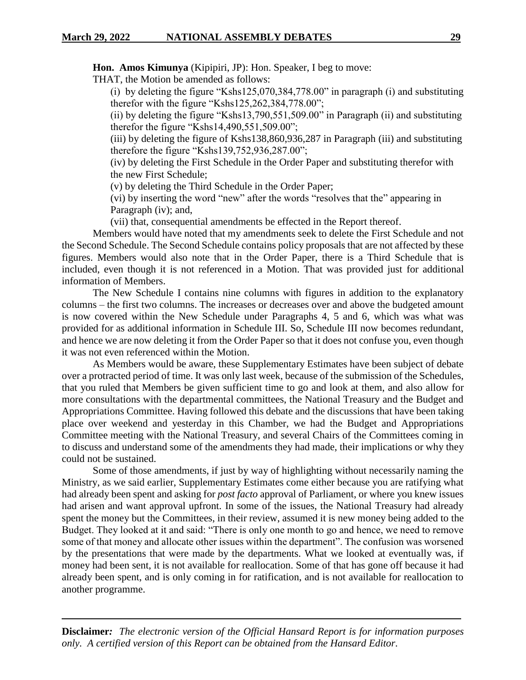**Hon. Amos Kimunya** (Kipipiri, JP): Hon. Speaker, I beg to move:

THAT, the Motion be amended as follows:

(i) by deleting the figure "Kshs125,070,384,778.00" in paragraph (i) and substituting therefor with the figure "Kshs125,262,384,778.00";

(ii) by deleting the figure "Kshs13,790,551,509.00" in Paragraph (ii) and substituting therefor the figure "Kshs14,490,551,509.00";

(iii) by deleting the figure of Kshs138,860,936,287 in Paragraph (iii) and substituting therefore the figure "Kshs139,752,936,287.00";

(iv) by deleting the First Schedule in the Order Paper and substituting therefor with the new First Schedule;

(v) by deleting the Third Schedule in the Order Paper;

(vi) by inserting the word "new" after the words "resolves that the" appearing in Paragraph (iv); and,

(vii) that, consequential amendments be effected in the Report thereof.

Members would have noted that my amendments seek to delete the First Schedule and not the Second Schedule. The Second Schedule contains policy proposals that are not affected by these figures. Members would also note that in the Order Paper, there is a Third Schedule that is included, even though it is not referenced in a Motion. That was provided just for additional information of Members.

The New Schedule I contains nine columns with figures in addition to the explanatory columns – the first two columns. The increases or decreases over and above the budgeted amount is now covered within the New Schedule under Paragraphs 4, 5 and 6, which was what was provided for as additional information in Schedule III. So, Schedule III now becomes redundant, and hence we are now deleting it from the Order Paper so that it does not confuse you, even though it was not even referenced within the Motion.

As Members would be aware, these Supplementary Estimates have been subject of debate over a protracted period of time. It was only last week, because of the submission of the Schedules, that you ruled that Members be given sufficient time to go and look at them, and also allow for more consultations with the departmental committees, the National Treasury and the Budget and Appropriations Committee. Having followed this debate and the discussions that have been taking place over weekend and yesterday in this Chamber, we had the Budget and Appropriations Committee meeting with the National Treasury, and several Chairs of the Committees coming in to discuss and understand some of the amendments they had made, their implications or why they could not be sustained.

Some of those amendments, if just by way of highlighting without necessarily naming the Ministry, as we said earlier, Supplementary Estimates come either because you are ratifying what had already been spent and asking for *post facto* approval of Parliament, or where you knew issues had arisen and want approval upfront. In some of the issues, the National Treasury had already spent the money but the Committees, in their review, assumed it is new money being added to the Budget. They looked at it and said: "There is only one month to go and hence, we need to remove some of that money and allocate other issues within the department". The confusion was worsened by the presentations that were made by the departments. What we looked at eventually was, if money had been sent, it is not available for reallocation. Some of that has gone off because it had already been spent, and is only coming in for ratification, and is not available for reallocation to another programme.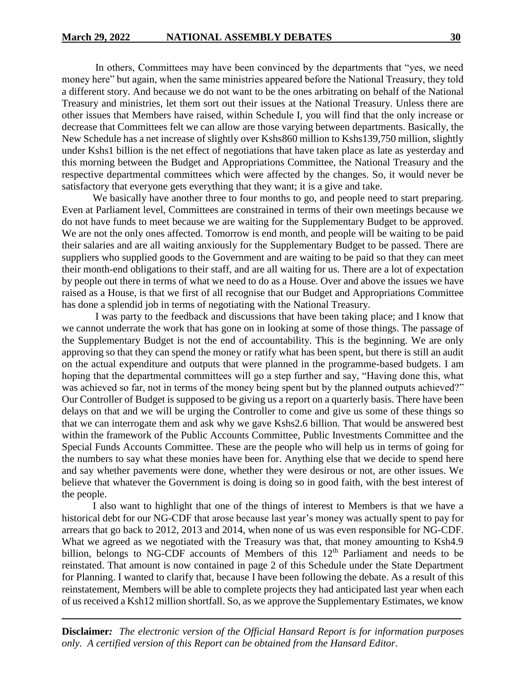In others, Committees may have been convinced by the departments that "yes, we need money here" but again, when the same ministries appeared before the National Treasury, they told a different story. And because we do not want to be the ones arbitrating on behalf of the National Treasury and ministries, let them sort out their issues at the National Treasury. Unless there are other issues that Members have raised, within Schedule I, you will find that the only increase or decrease that Committees felt we can allow are those varying between departments. Basically, the New Schedule has a net increase of slightly over Kshs860 million to Kshs139,750 million, slightly under Kshs1 billion is the net effect of negotiations that have taken place as late as yesterday and this morning between the Budget and Appropriations Committee, the National Treasury and the respective departmental committees which were affected by the changes. So, it would never be satisfactory that everyone gets everything that they want; it is a give and take.

We basically have another three to four months to go, and people need to start preparing. Even at Parliament level, Committees are constrained in terms of their own meetings because we do not have funds to meet because we are waiting for the Supplementary Budget to be approved. We are not the only ones affected. Tomorrow is end month, and people will be waiting to be paid their salaries and are all waiting anxiously for the Supplementary Budget to be passed. There are suppliers who supplied goods to the Government and are waiting to be paid so that they can meet their month-end obligations to their staff, and are all waiting for us. There are a lot of expectation by people out there in terms of what we need to do as a House. Over and above the issues we have raised as a House, is that we first of all recognise that our Budget and Appropriations Committee has done a splendid job in terms of negotiating with the National Treasury.

I was party to the feedback and discussions that have been taking place; and I know that we cannot underrate the work that has gone on in looking at some of those things. The passage of the Supplementary Budget is not the end of accountability. This is the beginning. We are only approving so that they can spend the money or ratify what has been spent, but there is still an audit on the actual expenditure and outputs that were planned in the programme-based budgets. I am hoping that the departmental committees will go a step further and say, "Having done this, what was achieved so far, not in terms of the money being spent but by the planned outputs achieved?" Our Controller of Budget is supposed to be giving us a report on a quarterly basis. There have been delays on that and we will be urging the Controller to come and give us some of these things so that we can interrogate them and ask why we gave Kshs2.6 billion. That would be answered best within the framework of the Public Accounts Committee, Public Investments Committee and the Special Funds Accounts Committee. These are the people who will help us in terms of going for the numbers to say what these monies have been for. Anything else that we decide to spend here and say whether pavements were done, whether they were desirous or not, are other issues. We believe that whatever the Government is doing is doing so in good faith, with the best interest of the people.

I also want to highlight that one of the things of interest to Members is that we have a historical debt for our NG-CDF that arose because last year's money was actually spent to pay for arrears that go back to 2012, 2013 and 2014, when none of us was even responsible for NG-CDF. What we agreed as we negotiated with the Treasury was that, that money amounting to Ksh4.9 billion, belongs to NG-CDF accounts of Members of this  $12<sup>th</sup>$  Parliament and needs to be reinstated. That amount is now contained in page 2 of this Schedule under the State Department for Planning. I wanted to clarify that, because I have been following the debate. As a result of this reinstatement, Members will be able to complete projects they had anticipated last year when each of us received a Ksh12 million shortfall. So, as we approve the Supplementary Estimates, we know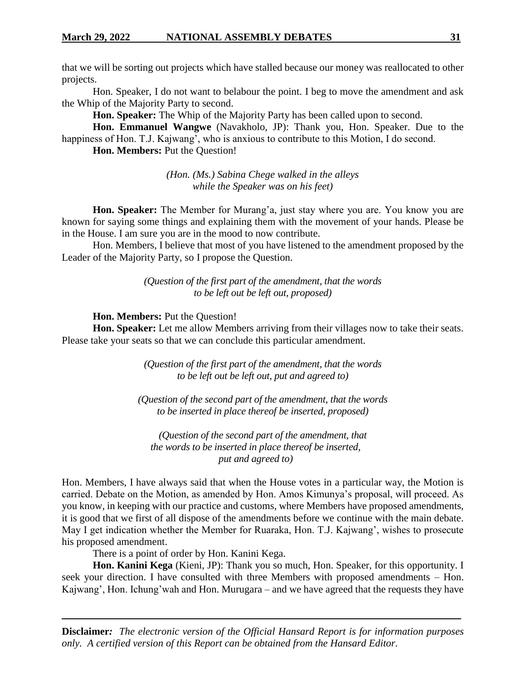that we will be sorting out projects which have stalled because our money was reallocated to other projects.

Hon. Speaker, I do not want to belabour the point. I beg to move the amendment and ask the Whip of the Majority Party to second.

**Hon. Speaker:** The Whip of the Majority Party has been called upon to second.

**Hon. Emmanuel Wangwe** (Navakholo, JP): Thank you, Hon. Speaker. Due to the happiness of Hon. T.J. Kajwang', who is anxious to contribute to this Motion, I do second.

**Hon. Members:** Put the Question!

*(Hon. (Ms.) Sabina Chege walked in the alleys while the Speaker was on his feet)*

**Hon. Speaker:** The Member for Murang'a, just stay where you are. You know you are known for saying some things and explaining them with the movement of your hands. Please be in the House. I am sure you are in the mood to now contribute.

Hon. Members, I believe that most of you have listened to the amendment proposed by the Leader of the Majority Party, so I propose the Question.

> *(Question of the first part of the amendment, that the words to be left out be left out, proposed)*

**Hon. Members:** Put the Question!

**Hon. Speaker:** Let me allow Members arriving from their villages now to take their seats. Please take your seats so that we can conclude this particular amendment.

> *(Question of the first part of the amendment, that the words to be left out be left out, put and agreed to)*

*(Question of the second part of the amendment, that the words to be inserted in place thereof be inserted, proposed)*

*(Question of the second part of the amendment, that the words to be inserted in place thereof be inserted, put and agreed to)*

Hon. Members, I have always said that when the House votes in a particular way, the Motion is carried. Debate on the Motion, as amended by Hon. Amos Kimunya's proposal, will proceed. As you know, in keeping with our practice and customs, where Members have proposed amendments, it is good that we first of all dispose of the amendments before we continue with the main debate. May I get indication whether the Member for Ruaraka, Hon. T.J. Kajwang', wishes to prosecute his proposed amendment.

There is a point of order by Hon. Kanini Kega.

**Hon. Kanini Kega** (Kieni, JP): Thank you so much, Hon. Speaker, for this opportunity. I seek your direction. I have consulted with three Members with proposed amendments – Hon. Kajwang', Hon. Ichung'wah and Hon. Murugara – and we have agreed that the requests they have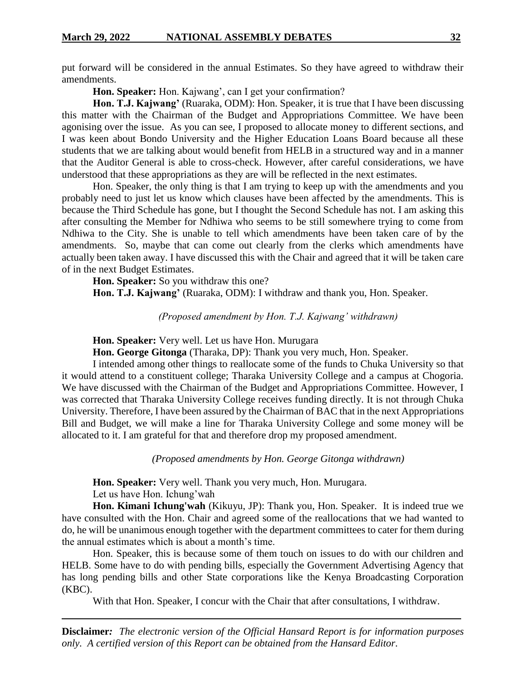put forward will be considered in the annual Estimates. So they have agreed to withdraw their amendments.

**Hon. Speaker:** Hon. Kajwang', can I get your confirmation?

Hon. T.J. Kajwang' (Ruaraka, ODM): Hon. Speaker, it is true that I have been discussing this matter with the Chairman of the Budget and Appropriations Committee. We have been agonising over the issue. As you can see, I proposed to allocate money to different sections, and I was keen about Bondo University and the Higher Education Loans Board because all these students that we are talking about would benefit from HELB in a structured way and in a manner that the Auditor General is able to cross-check. However, after careful considerations, we have understood that these appropriations as they are will be reflected in the next estimates.

Hon. Speaker, the only thing is that I am trying to keep up with the amendments and you probably need to just let us know which clauses have been affected by the amendments. This is because the Third Schedule has gone, but I thought the Second Schedule has not. I am asking this after consulting the Member for Ndhiwa who seems to be still somewhere trying to come from Ndhiwa to the City. She is unable to tell which amendments have been taken care of by the amendments. So, maybe that can come out clearly from the clerks which amendments have actually been taken away. I have discussed this with the Chair and agreed that it will be taken care of in the next Budget Estimates.

**Hon. Speaker:** So you withdraw this one? **Hon. T.J. Kajwang'** (Ruaraka, ODM): I withdraw and thank you, Hon. Speaker.

*(Proposed amendment by Hon. T.J. Kajwang' withdrawn)*

**Hon. Speaker:** Very well. Let us have Hon. Murugara

**Hon. George Gitonga** (Tharaka, DP): Thank you very much, Hon. Speaker.

I intended among other things to reallocate some of the funds to Chuka University so that it would attend to a constituent college; Tharaka University College and a campus at Chogoria. We have discussed with the Chairman of the Budget and Appropriations Committee. However, I was corrected that Tharaka University College receives funding directly. It is not through Chuka University. Therefore, I have been assured by the Chairman of BAC that in the next Appropriations Bill and Budget, we will make a line for Tharaka University College and some money will be allocated to it. I am grateful for that and therefore drop my proposed amendment.

*(Proposed amendments by Hon. George Gitonga withdrawn)*

**Hon. Speaker:** Very well. Thank you very much, Hon. Murugara. Let us have Hon. Ichung'wah

**Hon. Kimani Ichung'wah** (Kikuyu, JP): Thank you, Hon. Speaker. It is indeed true we have consulted with the Hon. Chair and agreed some of the reallocations that we had wanted to do, he will be unanimous enough together with the department committees to cater for them during the annual estimates which is about a month's time.

Hon. Speaker, this is because some of them touch on issues to do with our children and HELB. Some have to do with pending bills, especially the Government Advertising Agency that has long pending bills and other State corporations like the Kenya Broadcasting Corporation (KBC).

With that Hon. Speaker, I concur with the Chair that after consultations, I withdraw.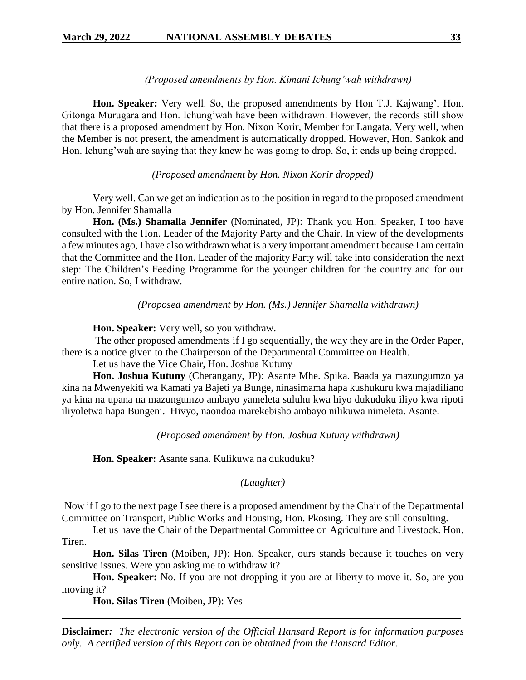#### *(Proposed amendments by Hon. Kimani Ichung'wah withdrawn)*

**Hon. Speaker:** Very well. So, the proposed amendments by Hon T.J. Kajwang', Hon. Gitonga Murugara and Hon. Ichung'wah have been withdrawn. However, the records still show that there is a proposed amendment by Hon. Nixon Korir, Member for Langata. Very well, when the Member is not present, the amendment is automatically dropped. However, Hon. Sankok and Hon. Ichung'wah are saying that they knew he was going to drop. So, it ends up being dropped.

### *(Proposed amendment by Hon. Nixon Korir dropped)*

Very well. Can we get an indication as to the position in regard to the proposed amendment by Hon. Jennifer Shamalla

**Hon. (Ms.) Shamalla Jennifer** (Nominated, JP): Thank you Hon. Speaker, I too have consulted with the Hon. Leader of the Majority Party and the Chair. In view of the developments a few minutes ago, I have also withdrawn what is a very important amendment because I am certain that the Committee and the Hon. Leader of the majority Party will take into consideration the next step: The Children's Feeding Programme for the younger children for the country and for our entire nation. So, I withdraw.

*(Proposed amendment by Hon. (Ms.) Jennifer Shamalla withdrawn)*

**Hon. Speaker:** Very well, so you withdraw.

The other proposed amendments if I go sequentially, the way they are in the Order Paper, there is a notice given to the Chairperson of the Departmental Committee on Health.

Let us have the Vice Chair, Hon. Joshua Kutuny

**Hon. Joshua Kutuny** (Cherangany, JP): Asante Mhe. Spika. Baada ya mazungumzo ya kina na Mwenyekiti wa Kamati ya Bajeti ya Bunge, ninasimama hapa kushukuru kwa majadiliano ya kina na upana na mazungumzo ambayo yameleta suluhu kwa hiyo dukuduku iliyo kwa ripoti iliyoletwa hapa Bungeni. Hivyo, naondoa marekebisho ambayo nilikuwa nimeleta. Asante.

*(Proposed amendment by Hon. Joshua Kutuny withdrawn)*

**Hon. Speaker:** Asante sana. Kulikuwa na dukuduku?

# *(Laughter)*

Now if I go to the next page I see there is a proposed amendment by the Chair of the Departmental Committee on Transport, Public Works and Housing, Hon. Pkosing. They are still consulting.

Let us have the Chair of the Departmental Committee on Agriculture and Livestock. Hon. Tiren.

**Hon. Silas Tiren** (Moiben, JP): Hon. Speaker, ours stands because it touches on very sensitive issues. Were you asking me to withdraw it?

**Hon. Speaker:** No. If you are not dropping it you are at liberty to move it. So, are you moving it?

**Hon. Silas Tiren** (Moiben, JP): Yes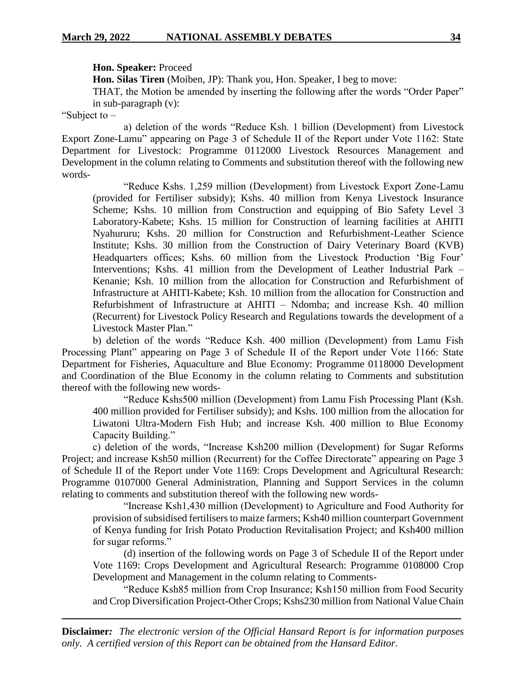#### **Hon. Speaker:** Proceed

**Hon. Silas Tiren** (Moiben, JP): Thank you, Hon. Speaker, I beg to move:

THAT, the Motion be amended by inserting the following after the words "Order Paper" in sub-paragraph (v):

"Subject to –

a) deletion of the words "Reduce Ksh. 1 billion (Development) from Livestock Export Zone-Lamu" appearing on Page 3 of Schedule II of the Report under Vote 1162: State Department for Livestock: Programme 0112000 Livestock Resources Management and Development in the column relating to Comments and substitution thereof with the following new words-

"Reduce Kshs. 1,259 million (Development) from Livestock Export Zone-Lamu (provided for Fertiliser subsidy); Kshs. 40 million from Kenya Livestock Insurance Scheme; Kshs. 10 million from Construction and equipping of Bio Safety Level 3 Laboratory-Kabete; Kshs. 15 million for Construction of learning facilities at AHITI Nyahururu; Kshs. 20 million for Construction and Refurbishment-Leather Science Institute; Kshs. 30 million from the Construction of Dairy Veterinary Board (KVB) Headquarters offices; Kshs. 60 million from the Livestock Production 'Big Four' Interventions; Kshs. 41 million from the Development of Leather Industrial Park – Kenanie; Ksh. 10 million from the allocation for Construction and Refurbishment of Infrastructure at AHITI-Kabete; Ksh. 10 million from the allocation for Construction and Refurbishment of Infrastructure at AHITI – Ndomba; and increase Ksh. 40 million (Recurrent) for Livestock Policy Research and Regulations towards the development of a Livestock Master Plan."

b) deletion of the words "Reduce Ksh. 400 million (Development) from Lamu Fish Processing Plant" appearing on Page 3 of Schedule II of the Report under Vote 1166: State Department for Fisheries, Aquaculture and Blue Economy: Programme 0118000 Development and Coordination of the Blue Economy in the column relating to Comments and substitution thereof with the following new words-

"Reduce Kshs500 million (Development) from Lamu Fish Processing Plant (Ksh. 400 million provided for Fertiliser subsidy); and Kshs. 100 million from the allocation for Liwatoni Ultra-Modern Fish Hub; and increase Ksh. 400 million to Blue Economy Capacity Building."

c) deletion of the words, "Increase Ksh200 million (Development) for Sugar Reforms Project; and increase Ksh50 million (Recurrent) for the Coffee Directorate" appearing on Page 3 of Schedule II of the Report under Vote 1169: Crops Development and Agricultural Research: Programme 0107000 General Administration, Planning and Support Services in the column relating to comments and substitution thereof with the following new words-

"Increase Ksh1,430 million (Development) to Agriculture and Food Authority for provision of subsidised fertilisers to maize farmers; Ksh40 million counterpart Government of Kenya funding for Irish Potato Production Revitalisation Project; and Ksh400 million for sugar reforms."

(d) insertion of the following words on Page 3 of Schedule II of the Report under Vote 1169: Crops Development and Agricultural Research: Programme 0108000 Crop Development and Management in the column relating to Comments-

"Reduce Ksh85 million from Crop Insurance; Ksh150 million from Food Security and Crop Diversification Project-Other Crops; Kshs230 million from National Value Chain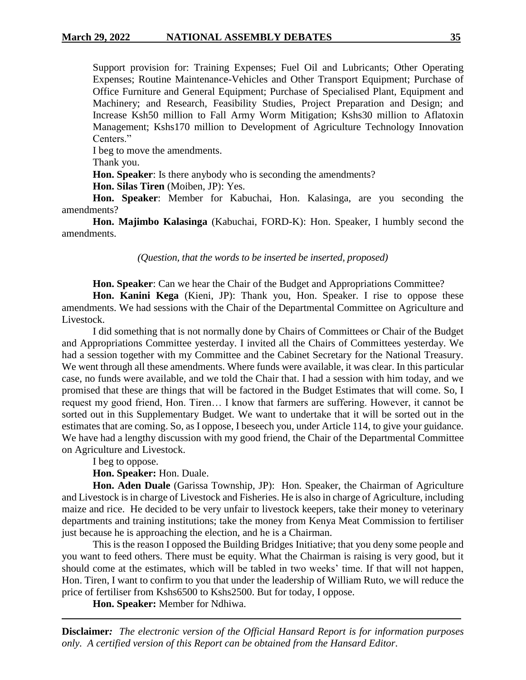Support provision for: Training Expenses; Fuel Oil and Lubricants; Other Operating Expenses; Routine Maintenance-Vehicles and Other Transport Equipment; Purchase of Office Furniture and General Equipment; Purchase of Specialised Plant, Equipment and Machinery; and Research, Feasibility Studies, Project Preparation and Design; and Increase Ksh50 million to Fall Army Worm Mitigation; Kshs30 million to Aflatoxin Management; Kshs170 million to Development of Agriculture Technology Innovation Centers."

I beg to move the amendments.

Thank you.

**Hon. Speaker**: Is there anybody who is seconding the amendments?

**Hon. Silas Tiren** (Moiben, JP): Yes.

**Hon. Speaker**: Member for Kabuchai, Hon. Kalasinga, are you seconding the amendments?

**Hon. Majimbo Kalasinga** (Kabuchai, FORD-K): Hon. Speaker, I humbly second the amendments.

*(Question, that the words to be inserted be inserted, proposed)*

**Hon. Speaker**: Can we hear the Chair of the Budget and Appropriations Committee?

**Hon. Kanini Kega** (Kieni, JP): Thank you, Hon. Speaker. I rise to oppose these amendments. We had sessions with the Chair of the Departmental Committee on Agriculture and Livestock.

I did something that is not normally done by Chairs of Committees or Chair of the Budget and Appropriations Committee yesterday. I invited all the Chairs of Committees yesterday. We had a session together with my Committee and the Cabinet Secretary for the National Treasury. We went through all these amendments. Where funds were available, it was clear. In this particular case, no funds were available, and we told the Chair that. I had a session with him today, and we promised that these are things that will be factored in the Budget Estimates that will come. So, I request my good friend, Hon. Tiren… I know that farmers are suffering. However, it cannot be sorted out in this Supplementary Budget. We want to undertake that it will be sorted out in the estimates that are coming. So, as I oppose, I beseech you, under Article 114, to give your guidance. We have had a lengthy discussion with my good friend, the Chair of the Departmental Committee on Agriculture and Livestock.

I beg to oppose.

**Hon. Speaker:** Hon. Duale.

**Hon. Aden Duale** (Garissa Township, JP): Hon. Speaker, the Chairman of Agriculture and Livestock is in charge of Livestock and Fisheries. He is also in charge of Agriculture, including maize and rice. He decided to be very unfair to livestock keepers, take their money to veterinary departments and training institutions; take the money from Kenya Meat Commission to fertiliser just because he is approaching the election, and he is a Chairman.

This is the reason I opposed the Building Bridges Initiative; that you deny some people and you want to feed others. There must be equity. What the Chairman is raising is very good, but it should come at the estimates, which will be tabled in two weeks' time. If that will not happen, Hon. Tiren, I want to confirm to you that under the leadership of William Ruto, we will reduce the price of fertiliser from Kshs6500 to Kshs2500. But for today, I oppose.

**Hon. Speaker:** Member for Ndhiwa.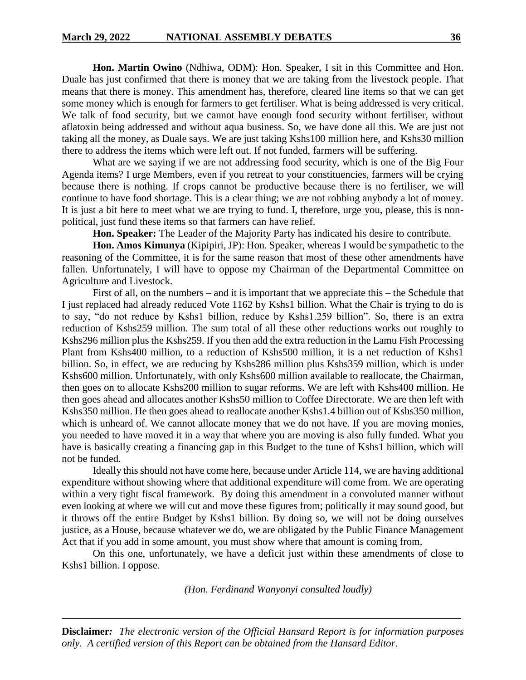**Hon. Martin Owino** (Ndhiwa, ODM): Hon. Speaker, I sit in this Committee and Hon. Duale has just confirmed that there is money that we are taking from the livestock people. That means that there is money. This amendment has, therefore, cleared line items so that we can get some money which is enough for farmers to get fertiliser. What is being addressed is very critical. We talk of food security, but we cannot have enough food security without fertiliser, without aflatoxin being addressed and without aqua business. So, we have done all this. We are just not taking all the money, as Duale says. We are just taking Kshs100 million here, and Kshs30 million there to address the items which were left out. If not funded, farmers will be suffering.

What are we saying if we are not addressing food security, which is one of the Big Four Agenda items? I urge Members, even if you retreat to your constituencies, farmers will be crying because there is nothing. If crops cannot be productive because there is no fertiliser, we will continue to have food shortage. This is a clear thing; we are not robbing anybody a lot of money. It is just a bit here to meet what we are trying to fund. I, therefore, urge you, please, this is nonpolitical, just fund these items so that farmers can have relief.

**Hon. Speaker:** The Leader of the Majority Party has indicated his desire to contribute.

**Hon. Amos Kimunya** (Kipipiri, JP): Hon. Speaker, whereas I would be sympathetic to the reasoning of the Committee, it is for the same reason that most of these other amendments have fallen. Unfortunately, I will have to oppose my Chairman of the Departmental Committee on Agriculture and Livestock.

First of all, on the numbers – and it is important that we appreciate this – the Schedule that I just replaced had already reduced Vote 1162 by Kshs1 billion. What the Chair is trying to do is to say, "do not reduce by Kshs1 billion, reduce by Kshs1.259 billion". So, there is an extra reduction of Kshs259 million. The sum total of all these other reductions works out roughly to Kshs296 million plus the Kshs259. If you then add the extra reduction in the Lamu Fish Processing Plant from Kshs400 million, to a reduction of Kshs500 million, it is a net reduction of Kshs1 billion. So, in effect, we are reducing by Kshs286 million plus Kshs359 million, which is under Kshs600 million. Unfortunately, with only Kshs600 million available to reallocate, the Chairman, then goes on to allocate Kshs200 million to sugar reforms. We are left with Kshs400 million. He then goes ahead and allocates another Kshs50 million to Coffee Directorate. We are then left with Kshs350 million. He then goes ahead to reallocate another Kshs1.4 billion out of Kshs350 million, which is unheard of. We cannot allocate money that we do not have. If you are moving monies, you needed to have moved it in a way that where you are moving is also fully funded. What you have is basically creating a financing gap in this Budget to the tune of Kshs1 billion, which will not be funded.

Ideally this should not have come here, because under Article 114, we are having additional expenditure without showing where that additional expenditure will come from. We are operating within a very tight fiscal framework. By doing this amendment in a convoluted manner without even looking at where we will cut and move these figures from; politically it may sound good, but it throws off the entire Budget by Kshs1 billion. By doing so, we will not be doing ourselves justice, as a House, because whatever we do, we are obligated by the Public Finance Management Act that if you add in some amount, you must show where that amount is coming from.

On this one, unfortunately, we have a deficit just within these amendments of close to Kshs1 billion. I oppose.

*(Hon. Ferdinand Wanyonyi consulted loudly)*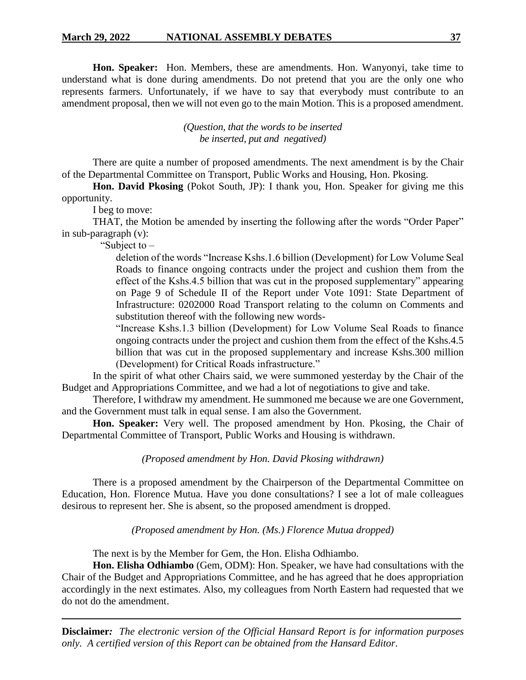**Hon. Speaker:** Hon. Members, these are amendments. Hon. Wanyonyi, take time to understand what is done during amendments. Do not pretend that you are the only one who represents farmers. Unfortunately, if we have to say that everybody must contribute to an amendment proposal, then we will not even go to the main Motion. This is a proposed amendment.

> *(Question, that the words to be inserted be inserted, put and negatived)*

There are quite a number of proposed amendments. The next amendment is by the Chair of the Departmental Committee on Transport, Public Works and Housing, Hon. Pkosing.

**Hon. David Pkosing** (Pokot South, JP): I thank you, Hon. Speaker for giving me this opportunity.

I beg to move:

THAT, the Motion be amended by inserting the following after the words "Order Paper" in sub-paragraph (v):

"Subject to –

deletion of the words "Increase Kshs.1.6 billion (Development) for Low Volume Seal Roads to finance ongoing contracts under the project and cushion them from the effect of the Kshs.4.5 billion that was cut in the proposed supplementary" appearing on Page 9 of Schedule II of the Report under Vote 1091: State Department of Infrastructure: 0202000 Road Transport relating to the column on Comments and substitution thereof with the following new words-

"Increase Kshs.1.3 billion (Development) for Low Volume Seal Roads to finance ongoing contracts under the project and cushion them from the effect of the Kshs.4.5 billion that was cut in the proposed supplementary and increase Kshs.300 million (Development) for Critical Roads infrastructure."

In the spirit of what other Chairs said, we were summoned yesterday by the Chair of the Budget and Appropriations Committee, and we had a lot of negotiations to give and take.

Therefore, I withdraw my amendment. He summoned me because we are one Government, and the Government must talk in equal sense. I am also the Government.

**Hon. Speaker:** Very well. The proposed amendment by Hon. Pkosing, the Chair of Departmental Committee of Transport, Public Works and Housing is withdrawn.

*(Proposed amendment by Hon. David Pkosing withdrawn)*

There is a proposed amendment by the Chairperson of the Departmental Committee on Education, Hon. Florence Mutua. Have you done consultations? I see a lot of male colleagues desirous to represent her. She is absent, so the proposed amendment is dropped.

*(Proposed amendment by Hon. (Ms.) Florence Mutua dropped)*

The next is by the Member for Gem, the Hon. Elisha Odhiambo.

**Hon. Elisha Odhiambo** (Gem, ODM): Hon. Speaker, we have had consultations with the Chair of the Budget and Appropriations Committee, and he has agreed that he does appropriation accordingly in the next estimates. Also, my colleagues from North Eastern had requested that we do not do the amendment.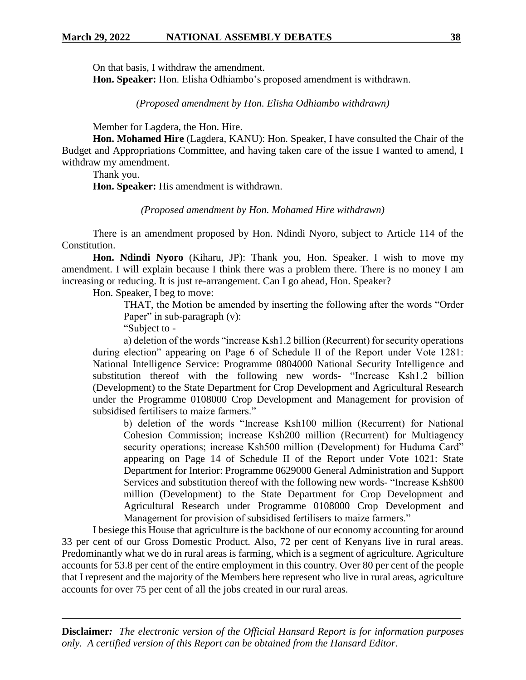On that basis, I withdraw the amendment.

**Hon. Speaker:** Hon. Elisha Odhiambo's proposed amendment is withdrawn.

*(Proposed amendment by Hon. Elisha Odhiambo withdrawn)*

Member for Lagdera, the Hon. Hire.

**Hon. Mohamed Hire** (Lagdera, KANU): Hon. Speaker, I have consulted the Chair of the Budget and Appropriations Committee, and having taken care of the issue I wanted to amend, I withdraw my amendment.

Thank you.

**Hon. Speaker:** His amendment is withdrawn.

#### *(Proposed amendment by Hon. Mohamed Hire withdrawn)*

There is an amendment proposed by Hon. Ndindi Nyoro, subject to Article 114 of the Constitution.

**Hon. Ndindi Nyoro** (Kiharu, JP): Thank you, Hon. Speaker. I wish to move my amendment. I will explain because I think there was a problem there. There is no money I am increasing or reducing. It is just re-arrangement. Can I go ahead, Hon. Speaker?

Hon. Speaker, I beg to move:

THAT, the Motion be amended by inserting the following after the words "Order Paper" in sub-paragraph (v):

"Subject to -

a) deletion of the words "increase Ksh1.2 billion (Recurrent) for security operations during election" appearing on Page 6 of Schedule II of the Report under Vote 1281: National Intelligence Service: Programme 0804000 National Security Intelligence and substitution thereof with the following new words- "Increase Ksh1.2 billion (Development) to the State Department for Crop Development and Agricultural Research under the Programme 0108000 Crop Development and Management for provision of subsidised fertilisers to maize farmers."

b) deletion of the words "Increase Ksh100 million (Recurrent) for National Cohesion Commission; increase Ksh200 million (Recurrent) for Multiagency security operations; increase Ksh500 million (Development) for Huduma Card" appearing on Page 14 of Schedule II of the Report under Vote 1021: State Department for Interior: Programme 0629000 General Administration and Support Services and substitution thereof with the following new words- "Increase Ksh800 million (Development) to the State Department for Crop Development and Agricultural Research under Programme 0108000 Crop Development and Management for provision of subsidised fertilisers to maize farmers."

I besiege this House that agriculture is the backbone of our economy accounting for around 33 per cent of our Gross Domestic Product. Also, 72 per cent of Kenyans live in rural areas. Predominantly what we do in rural areas is farming, which is a segment of agriculture. Agriculture accounts for 53.8 per cent of the entire employment in this country. Over 80 per cent of the people that I represent and the majority of the Members here represent who live in rural areas, agriculture accounts for over 75 per cent of all the jobs created in our rural areas.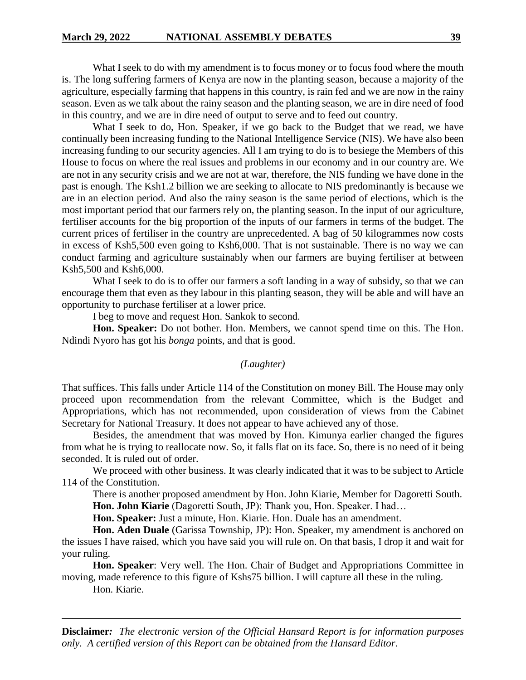What I seek to do with my amendment is to focus money or to focus food where the mouth is. The long suffering farmers of Kenya are now in the planting season, because a majority of the agriculture, especially farming that happens in this country, is rain fed and we are now in the rainy season. Even as we talk about the rainy season and the planting season, we are in dire need of food in this country, and we are in dire need of output to serve and to feed out country.

What I seek to do, Hon. Speaker, if we go back to the Budget that we read, we have continually been increasing funding to the National Intelligence Service (NIS). We have also been increasing funding to our security agencies. All I am trying to do is to besiege the Members of this House to focus on where the real issues and problems in our economy and in our country are. We are not in any security crisis and we are not at war, therefore, the NIS funding we have done in the past is enough. The Ksh1.2 billion we are seeking to allocate to NIS predominantly is because we are in an election period. And also the rainy season is the same period of elections, which is the most important period that our farmers rely on, the planting season. In the input of our agriculture, fertiliser accounts for the big proportion of the inputs of our farmers in terms of the budget. The current prices of fertiliser in the country are unprecedented. A bag of 50 kilogrammes now costs in excess of Ksh5,500 even going to Ksh6,000. That is not sustainable. There is no way we can conduct farming and agriculture sustainably when our farmers are buying fertiliser at between Ksh5,500 and Ksh6,000.

What I seek to do is to offer our farmers a soft landing in a way of subsidy, so that we can encourage them that even as they labour in this planting season, they will be able and will have an opportunity to purchase fertiliser at a lower price.

I beg to move and request Hon. Sankok to second.

**Hon. Speaker:** Do not bother. Hon. Members, we cannot spend time on this. The Hon. Ndindi Nyoro has got his *bonga* points, and that is good.

### *(Laughter)*

That suffices. This falls under Article 114 of the Constitution on money Bill. The House may only proceed upon recommendation from the relevant Committee, which is the Budget and Appropriations, which has not recommended, upon consideration of views from the Cabinet Secretary for National Treasury. It does not appear to have achieved any of those.

Besides, the amendment that was moved by Hon. Kimunya earlier changed the figures from what he is trying to reallocate now. So, it falls flat on its face. So, there is no need of it being seconded. It is ruled out of order.

We proceed with other business. It was clearly indicated that it was to be subject to Article 114 of the Constitution.

There is another proposed amendment by Hon. John Kiarie, Member for Dagoretti South. Hon. John Kiarie (Dagoretti South, JP): Thank you, Hon. Speaker. I had...

**Hon. Speaker:** Just a minute, Hon. Kiarie. Hon. Duale has an amendment.

**Hon. Aden Duale** (Garissa Township, JP): Hon. Speaker, my amendment is anchored on the issues I have raised, which you have said you will rule on. On that basis, I drop it and wait for your ruling.

**Hon. Speaker**: Very well. The Hon. Chair of Budget and Appropriations Committee in moving, made reference to this figure of Kshs75 billion. I will capture all these in the ruling.

Hon. Kiarie.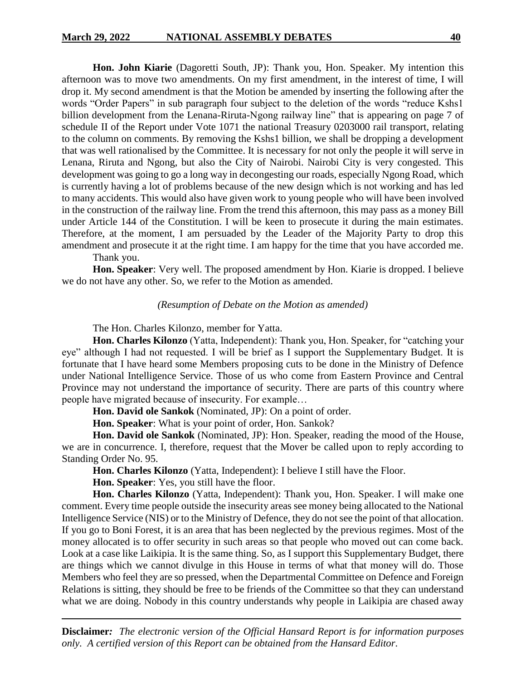**Hon. John Kiarie** (Dagoretti South, JP): Thank you, Hon. Speaker. My intention this afternoon was to move two amendments. On my first amendment, in the interest of time, I will drop it. My second amendment is that the Motion be amended by inserting the following after the words "Order Papers" in sub paragraph four subject to the deletion of the words "reduce Kshs1 billion development from the Lenana-Riruta-Ngong railway line" that is appearing on page 7 of schedule II of the Report under Vote 1071 the national Treasury 0203000 rail transport, relating to the column on comments. By removing the Kshs1 billion, we shall be dropping a development that was well rationalised by the Committee. It is necessary for not only the people it will serve in Lenana, Riruta and Ngong, but also the City of Nairobi. Nairobi City is very congested. This development was going to go a long way in decongesting our roads, especially Ngong Road, which is currently having a lot of problems because of the new design which is not working and has led to many accidents. This would also have given work to young people who will have been involved in the construction of the railway line. From the trend this afternoon, this may pass as a money Bill under Article 144 of the Constitution. I will be keen to prosecute it during the main estimates. Therefore, at the moment, I am persuaded by the Leader of the Majority Party to drop this amendment and prosecute it at the right time. I am happy for the time that you have accorded me.

Thank you.

**Hon. Speaker**: Very well. The proposed amendment by Hon. Kiarie is dropped. I believe we do not have any other. So, we refer to the Motion as amended.

#### *(Resumption of Debate on the Motion as amended)*

The Hon. Charles Kilonzo, member for Yatta.

**Hon. Charles Kilonzo** (Yatta, Independent): Thank you, Hon. Speaker, for "catching your eye" although I had not requested. I will be brief as I support the Supplementary Budget. It is fortunate that I have heard some Members proposing cuts to be done in the Ministry of Defence under National Intelligence Service. Those of us who come from Eastern Province and Central Province may not understand the importance of security. There are parts of this country where people have migrated because of insecurity. For example…

**Hon. David ole Sankok** (Nominated, JP): On a point of order.

**Hon. Speaker**: What is your point of order, Hon. Sankok?

**Hon. David ole Sankok** (Nominated, JP): Hon. Speaker, reading the mood of the House, we are in concurrence. I, therefore, request that the Mover be called upon to reply according to Standing Order No. 95.

**Hon. Charles Kilonzo** (Yatta, Independent): I believe I still have the Floor.

**Hon. Speaker**: Yes, you still have the floor.

**Hon. Charles Kilonzo** (Yatta, Independent): Thank you, Hon. Speaker. I will make one comment. Every time people outside the insecurity areas see money being allocated to the National Intelligence Service (NIS) or to the Ministry of Defence, they do not see the point of that allocation. If you go to Boni Forest, it is an area that has been neglected by the previous regimes. Most of the money allocated is to offer security in such areas so that people who moved out can come back. Look at a case like Laikipia. It is the same thing. So, as I support this Supplementary Budget, there are things which we cannot divulge in this House in terms of what that money will do. Those Members who feel they are so pressed, when the Departmental Committee on Defence and Foreign Relations is sitting, they should be free to be friends of the Committee so that they can understand what we are doing. Nobody in this country understands why people in Laikipia are chased away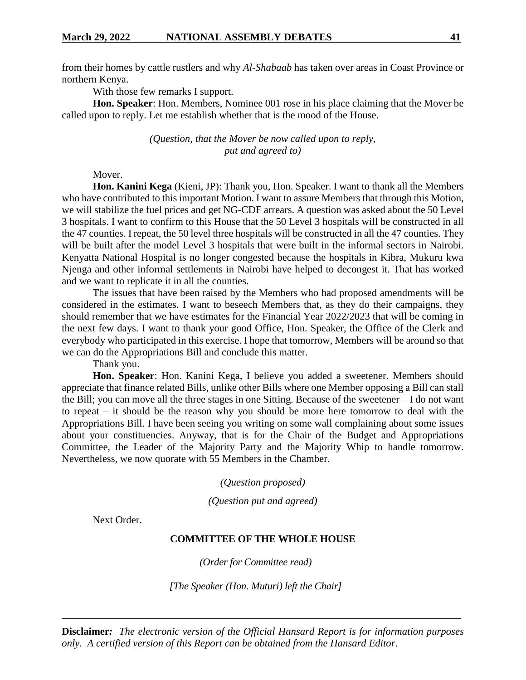from their homes by cattle rustlers and why *Al-Shabaab* has taken over areas in Coast Province or northern Kenya.

With those few remarks I support.

**Hon. Speaker**: Hon. Members, Nominee 001 rose in his place claiming that the Mover be called upon to reply. Let me establish whether that is the mood of the House.

> *(Question, that the Mover be now called upon to reply, put and agreed to)*

# Mover.

**Hon. Kanini Kega** (Kieni, JP): Thank you, Hon. Speaker. I want to thank all the Members who have contributed to this important Motion. I want to assure Members that through this Motion, we will stabilize the fuel prices and get NG-CDF arrears. A question was asked about the 50 Level 3 hospitals. I want to confirm to this House that the 50 Level 3 hospitals will be constructed in all the 47 counties. I repeat, the 50 level three hospitals will be constructed in all the 47 counties. They will be built after the model Level 3 hospitals that were built in the informal sectors in Nairobi. Kenyatta National Hospital is no longer congested because the hospitals in Kibra, Mukuru kwa Njenga and other informal settlements in Nairobi have helped to decongest it. That has worked and we want to replicate it in all the counties.

The issues that have been raised by the Members who had proposed amendments will be considered in the estimates. I want to beseech Members that, as they do their campaigns, they should remember that we have estimates for the Financial Year 2022/2023 that will be coming in the next few days. I want to thank your good Office, Hon. Speaker, the Office of the Clerk and everybody who participated in this exercise. I hope that tomorrow, Members will be around so that we can do the Appropriations Bill and conclude this matter.

Thank you.

**Hon. Speaker**: Hon. Kanini Kega, I believe you added a sweetener. Members should appreciate that finance related Bills, unlike other Bills where one Member opposing a Bill can stall the Bill; you can move all the three stages in one Sitting. Because of the sweetener – I do not want to repeat – it should be the reason why you should be more here tomorrow to deal with the Appropriations Bill. I have been seeing you writing on some wall complaining about some issues about your constituencies. Anyway, that is for the Chair of the Budget and Appropriations Committee, the Leader of the Majority Party and the Majority Whip to handle tomorrow. Nevertheless, we now quorate with 55 Members in the Chamber.

*(Question proposed)*

*(Question put and agreed)*

Next Order.

#### **COMMITTEE OF THE WHOLE HOUSE**

*(Order for Committee read)*

*[The Speaker (Hon. Muturi) left the Chair]*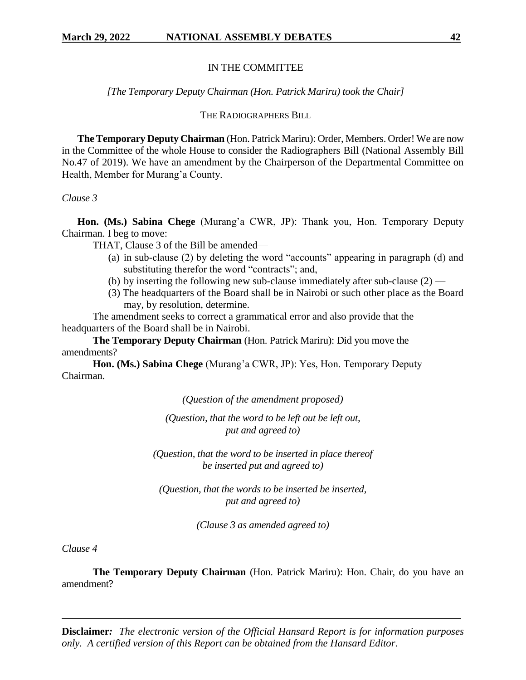#### IN THE COMMITTEE

#### *[The Temporary Deputy Chairman (Hon. Patrick Mariru) took the Chair]*

#### THE RADIOGRAPHERS BILL

**The Temporary Deputy Chairman** (Hon. Patrick Mariru): Order, Members. Order! We are now in the Committee of the whole House to consider the Radiographers Bill (National Assembly Bill No.47 of 2019). We have an amendment by the Chairperson of the Departmental Committee on Health, Member for Murang'a County.

#### *Clause 3*

**Hon. (Ms.) Sabina Chege** (Murang'a CWR, JP): Thank you, Hon. Temporary Deputy Chairman. I beg to move:

THAT, Clause 3 of the Bill be amended—

- (a) in sub-clause (2) by deleting the word "accounts" appearing in paragraph (d) and substituting therefor the word "contracts"; and,
- (b) by inserting the following new sub-clause immediately after sub-clause  $(2)$  —
- (3) The headquarters of the Board shall be in Nairobi or such other place as the Board may, by resolution, determine.

The amendment seeks to correct a grammatical error and also provide that the headquarters of the Board shall be in Nairobi.

**The Temporary Deputy Chairman** (Hon. Patrick Mariru): Did you move the amendments?

**Hon. (Ms.) Sabina Chege** (Murang'a CWR, JP): Yes, Hon. Temporary Deputy Chairman.

*(Question of the amendment proposed)*

*(Question, that the word to be left out be left out, put and agreed to)*

*(Question, that the word to be inserted in place thereof be inserted put and agreed to)* 

*(Question, that the words to be inserted be inserted, put and agreed to)*

*(Clause 3 as amended agreed to)*

*Clause 4*

**The Temporary Deputy Chairman** (Hon. Patrick Mariru): Hon. Chair, do you have an amendment?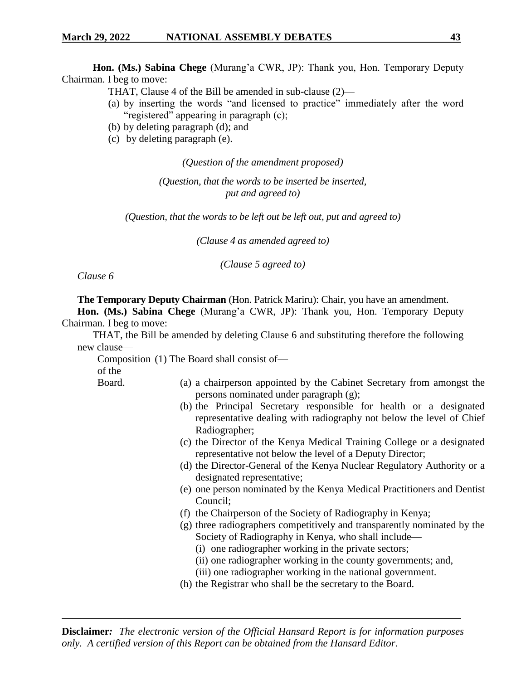**Hon. (Ms.) Sabina Chege** (Murang'a CWR, JP): Thank you, Hon. Temporary Deputy Chairman. I beg to move:

- THAT, Clause 4 of the Bill be amended in sub-clause (2)—
- (a) by inserting the words "and licensed to practice" immediately after the word "registered" appearing in paragraph (c);
- (b) by deleting paragraph (d); and
- (c) by deleting paragraph (e).

*(Question of the amendment proposed)*

*(Question, that the words to be inserted be inserted, put and agreed to)*

*(Question, that the words to be left out be left out, put and agreed to)*

*(Clause 4 as amended agreed to)*

*(Clause 5 agreed to)*

*Clause 6*

**The Temporary Deputy Chairman** (Hon. Patrick Mariru): Chair, you have an amendment.

**Hon. (Ms.) Sabina Chege** (Murang'a CWR, JP): Thank you, Hon. Temporary Deputy Chairman. I beg to move:

THAT, the Bill be amended by deleting Clause 6 and substituting therefore the following new clause—

Composition (1) The Board shall consist ofof the

Board.

- (a) a chairperson appointed by the Cabinet Secretary from amongst the persons nominated under paragraph (g);
	- (b) the Principal Secretary responsible for health or a designated representative dealing with radiography not below the level of Chief Radiographer;
	- (c) the Director of the Kenya Medical Training College or a designated representative not below the level of a Deputy Director;
	- (d) the Director-General of the Kenya Nuclear Regulatory Authority or a designated representative;
	- (e) one person nominated by the Kenya Medical Practitioners and Dentist Council;
	- (f) the Chairperson of the Society of Radiography in Kenya;
	- (g) three radiographers competitively and transparently nominated by the Society of Radiography in Kenya, who shall include—
		- (i) one radiographer working in the private sectors;
		- (ii) one radiographer working in the county governments; and,
		- (iii) one radiographer working in the national government.
	- (h) the Registrar who shall be the secretary to the Board.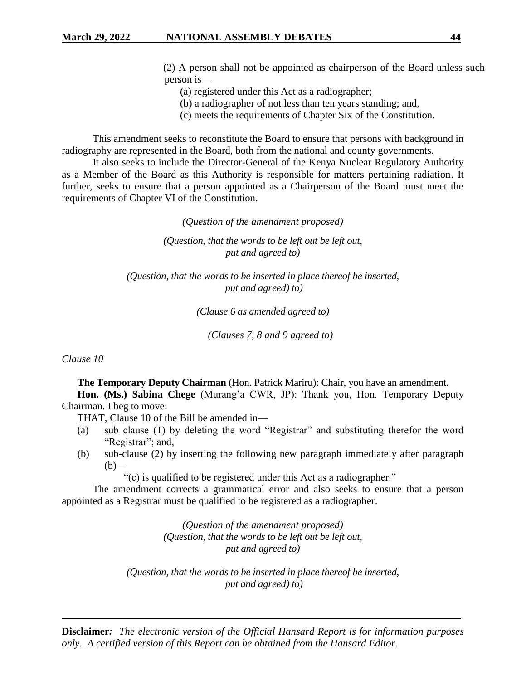- (2) A person shall not be appointed as chairperson of the Board unless such person is—
	- (a) registered under this Act as a radiographer;
	- (b) a radiographer of not less than ten years standing; and,
	- (c) meets the requirements of Chapter Six of the Constitution.

This amendment seeks to reconstitute the Board to ensure that persons with background in radiography are represented in the Board, both from the national and county governments.

It also seeks to include the Director-General of the Kenya Nuclear Regulatory Authority as a Member of the Board as this Authority is responsible for matters pertaining radiation. It further, seeks to ensure that a person appointed as a Chairperson of the Board must meet the requirements of Chapter VI of the Constitution.

*(Question of the amendment proposed)*

*(Question, that the words to be left out be left out, put and agreed to)*

*(Question, that the words to be inserted in place thereof be inserted, put and agreed) to)*

*(Clause 6 as amended agreed to)*

*(Clauses 7, 8 and 9 agreed to)*

*Clause 10*

**The Temporary Deputy Chairman** (Hon. Patrick Mariru): Chair, you have an amendment.

**Hon. (Ms.) Sabina Chege** (Murang'a CWR, JP): Thank you, Hon. Temporary Deputy Chairman. I beg to move:

THAT, Clause 10 of the Bill be amended in—

- (a) sub clause (1) by deleting the word "Registrar" and substituting therefor the word "Registrar"; and,
- (b) sub-clause (2) by inserting the following new paragraph immediately after paragraph  $(b)$ —

"(c) is qualified to be registered under this Act as a radiographer."

The amendment corrects a grammatical error and also seeks to ensure that a person appointed as a Registrar must be qualified to be registered as a radiographer.

> *(Question of the amendment proposed) (Question, that the words to be left out be left out, put and agreed to)*

*(Question, that the words to be inserted in place thereof be inserted, put and agreed) to)*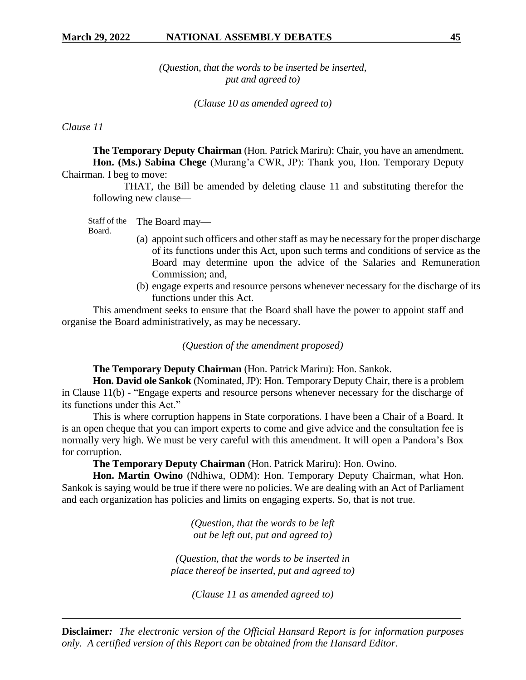*(Question, that the words to be inserted be inserted, put and agreed to)* 

*(Clause 10 as amended agreed to)*

*Clause 11*

**The Temporary Deputy Chairman** (Hon. Patrick Mariru): Chair, you have an amendment. **Hon. (Ms.) Sabina Chege** (Murang'a CWR, JP): Thank you, Hon. Temporary Deputy Chairman. I beg to move:

THAT, the Bill be amended by deleting clause 11 and substituting therefor the following new clause—

Staff of the Board. The Board may—

- (a) appoint such officers and other staff as may be necessary for the proper discharge of its functions under this Act, upon such terms and conditions of service as the Board may determine upon the advice of the Salaries and Remuneration Commission; and,
- (b) engage experts and resource persons whenever necessary for the discharge of its functions under this Act.

This amendment seeks to ensure that the Board shall have the power to appoint staff and organise the Board administratively, as may be necessary.

*(Question of the amendment proposed)*

**The Temporary Deputy Chairman** (Hon. Patrick Mariru): Hon. Sankok.

**Hon. David ole Sankok** (Nominated, JP): Hon. Temporary Deputy Chair, there is a problem in Clause 11(b) - "Engage experts and resource persons whenever necessary for the discharge of its functions under this Act."

This is where corruption happens in State corporations. I have been a Chair of a Board. It is an open cheque that you can import experts to come and give advice and the consultation fee is normally very high. We must be very careful with this amendment. It will open a Pandora's Box for corruption.

**The Temporary Deputy Chairman** (Hon. Patrick Mariru): Hon. Owino.

**Hon. Martin Owino** (Ndhiwa, ODM): Hon. Temporary Deputy Chairman, what Hon. Sankok is saying would be true if there were no policies. We are dealing with an Act of Parliament and each organization has policies and limits on engaging experts. So, that is not true.

> *(Question, that the words to be left out be left out, put and agreed to)*

*(Question, that the words to be inserted in place thereof be inserted, put and agreed to)*

*(Clause 11 as amended agreed to)*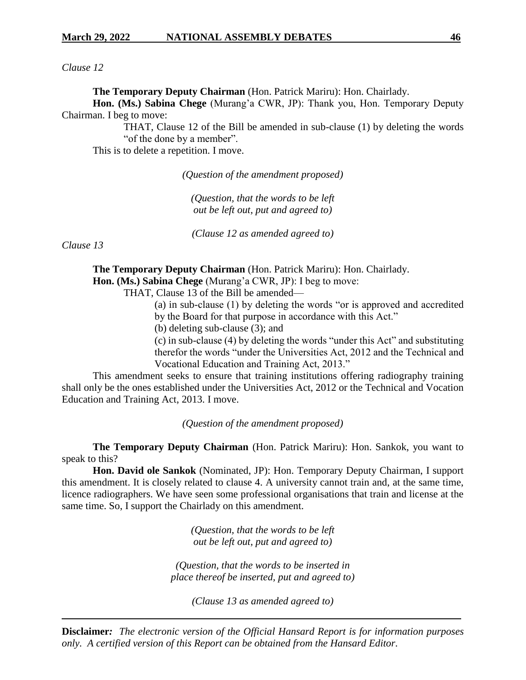*Clause 12*

**The Temporary Deputy Chairman** (Hon. Patrick Mariru): Hon. Chairlady.

**Hon. (Ms.) Sabina Chege** (Murang'a CWR, JP): Thank you, Hon. Temporary Deputy Chairman. I beg to move:

> THAT, Clause 12 of the Bill be amended in sub-clause (1) by deleting the words "of the done by a member".

This is to delete a repetition. I move.

*(Question of the amendment proposed)*

*(Question, that the words to be left out be left out, put and agreed to)*

*(Clause 12 as amended agreed to)*

*Clause 13*

**The Temporary Deputy Chairman** (Hon. Patrick Mariru): Hon. Chairlady. **Hon. (Ms.) Sabina Chege** (Murang'a CWR, JP): I beg to move:

THAT, Clause 13 of the Bill be amended—

(a) in sub-clause (1) by deleting the words "or is approved and accredited by the Board for that purpose in accordance with this Act."

(b) deleting sub-clause (3); and

(c) in sub-clause (4) by deleting the words "under this Act" and substituting therefor the words "under the Universities Act, 2012 and the Technical and Vocational Education and Training Act, 2013."

This amendment seeks to ensure that training institutions offering radiography training shall only be the ones established under the Universities Act, 2012 or the Technical and Vocation Education and Training Act, 2013. I move.

*(Question of the amendment proposed)*

**The Temporary Deputy Chairman** (Hon. Patrick Mariru): Hon. Sankok, you want to speak to this?

**Hon. David ole Sankok** (Nominated, JP): Hon. Temporary Deputy Chairman, I support this amendment. It is closely related to clause 4. A university cannot train and, at the same time, licence radiographers. We have seen some professional organisations that train and license at the same time. So, I support the Chairlady on this amendment.

> *(Question, that the words to be left out be left out, put and agreed to)*

*(Question, that the words to be inserted in place thereof be inserted, put and agreed to)*

*(Clause 13 as amended agreed to)*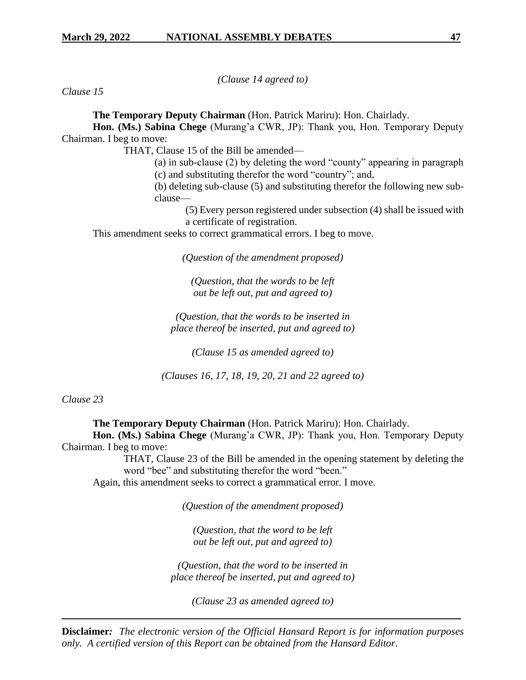*(Clause 14 agreed to)*

*Clause 15*

**The Temporary Deputy Chairman** (Hon. Patrick Mariru): Hon. Chairlady.

**Hon. (Ms.) Sabina Chege** (Murang'a CWR, JP): Thank you, Hon. Temporary Deputy Chairman. I beg to move:

THAT, Clause 15 of the Bill be amended—

(a) in sub-clause (2) by deleting the word "county" appearing in paragraph (c) and substituting therefor the word "country"; and,

(b) deleting sub-clause (5) and substituting therefor the following new subclause—

(5) Every person registered under subsection (4) shall be issued with a certificate of registration.

This amendment seeks to correct grammatical errors. I beg to move.

*(Question of the amendment proposed)*

*(Question, that the words to be left out be left out, put and agreed to)*

*(Question, that the words to be inserted in place thereof be inserted, put and agreed to)*

*(Clause 15 as amended agreed to)*

*(Clauses 16, 17, 18, 19, 20, 21 and 22 agreed to)* 

*Clause 23*

**The Temporary Deputy Chairman** (Hon. Patrick Mariru): Hon. Chairlady.

**Hon. (Ms.) Sabina Chege** (Murang'a CWR, JP): Thank you, Hon. Temporary Deputy Chairman. I beg to move:

THAT, Clause 23 of the Bill be amended in the opening statement by deleting the word "bee" and substituting therefor the word "been."

Again, this amendment seeks to correct a grammatical error. I move.

*(Question of the amendment proposed)*

*(Question, that the word to be left out be left out, put and agreed to)*

*(Question, that the word to be inserted in place thereof be inserted, put and agreed to)*

*(Clause 23 as amended agreed to)*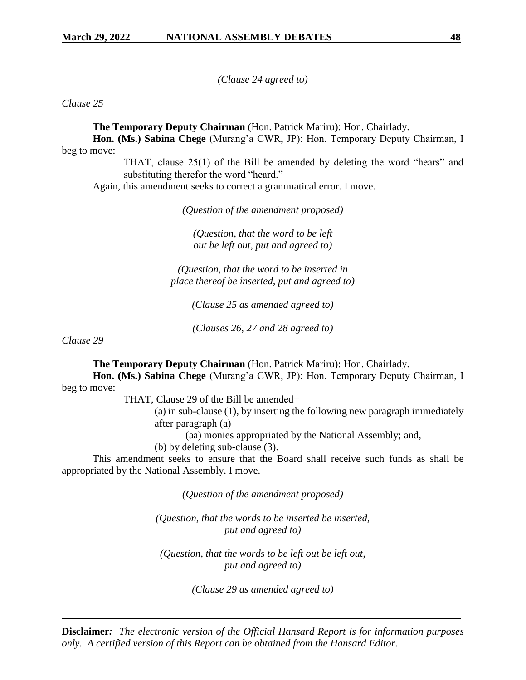*(Clause 24 agreed to)*

*Clause 25*

**The Temporary Deputy Chairman** (Hon. Patrick Mariru): Hon. Chairlady.

**Hon. (Ms.) Sabina Chege** (Murang'a CWR, JP): Hon. Temporary Deputy Chairman, I beg to move:

THAT, clause 25(1) of the Bill be amended by deleting the word "hears" and substituting therefor the word "heard."

Again, this amendment seeks to correct a grammatical error. I move.

*(Question of the amendment proposed)*

*(Question, that the word to be left out be left out, put and agreed to)*

*(Question, that the word to be inserted in place thereof be inserted, put and agreed to)*

*(Clause 25 as amended agreed to)*

*(Clauses 26, 27 and 28 agreed to)*

*Clause 29*

**The Temporary Deputy Chairman** (Hon. Patrick Mariru): Hon. Chairlady.

**Hon. (Ms.) Sabina Chege** (Murang'a CWR, JP): Hon. Temporary Deputy Chairman, I beg to move:

THAT, Clause 29 of the Bill be amended−

(a) in sub-clause (1), by inserting the following new paragraph immediately after paragraph (a)—

(aa) monies appropriated by the National Assembly; and,

(b) by deleting sub-clause (3).

This amendment seeks to ensure that the Board shall receive such funds as shall be appropriated by the National Assembly. I move.

*(Question of the amendment proposed)*

*(Question, that the words to be inserted be inserted, put and agreed to)*

*(Question, that the words to be left out be left out, put and agreed to)*

*(Clause 29 as amended agreed to)*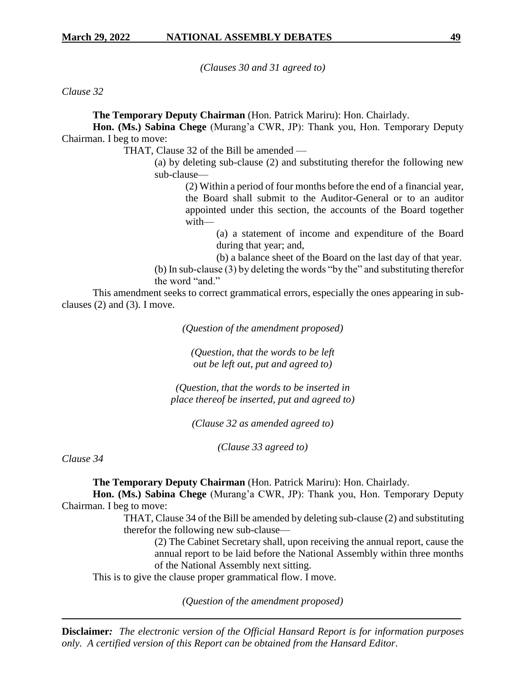*(Clauses 30 and 31 agreed to)*

*Clause 32*

**The Temporary Deputy Chairman** (Hon. Patrick Mariru): Hon. Chairlady.

**Hon. (Ms.) Sabina Chege** (Murang'a CWR, JP): Thank you, Hon. Temporary Deputy Chairman. I beg to move:

THAT, Clause 32 of the Bill be amended —

(a) by deleting sub-clause (2) and substituting therefor the following new sub-clause—

> (2) Within a period of four months before the end of a financial year, the Board shall submit to the Auditor-General or to an auditor appointed under this section, the accounts of the Board together with—

> > (a) a statement of income and expenditure of the Board during that year; and,

> > (b) a balance sheet of the Board on the last day of that year.

(b) In sub-clause (3) by deleting the words "by the" and substituting therefor the word "and."

This amendment seeks to correct grammatical errors, especially the ones appearing in subclauses (2) and (3). I move.

*(Question of the amendment proposed)*

*(Question, that the words to be left out be left out, put and agreed to)*

*(Question, that the words to be inserted in place thereof be inserted, put and agreed to)*

*(Clause 32 as amended agreed to)*

*(Clause 33 agreed to)*

*Clause 34*

**The Temporary Deputy Chairman** (Hon. Patrick Mariru): Hon. Chairlady.

**Hon. (Ms.) Sabina Chege** (Murang'a CWR, JP): Thank you, Hon. Temporary Deputy Chairman. I beg to move:

> THAT, Clause 34 of the Bill be amended by deleting sub-clause (2) and substituting therefor the following new sub-clause—

(2) The Cabinet Secretary shall, upon receiving the annual report, cause the annual report to be laid before the National Assembly within three months of the National Assembly next sitting.

This is to give the clause proper grammatical flow. I move.

*(Question of the amendment proposed)*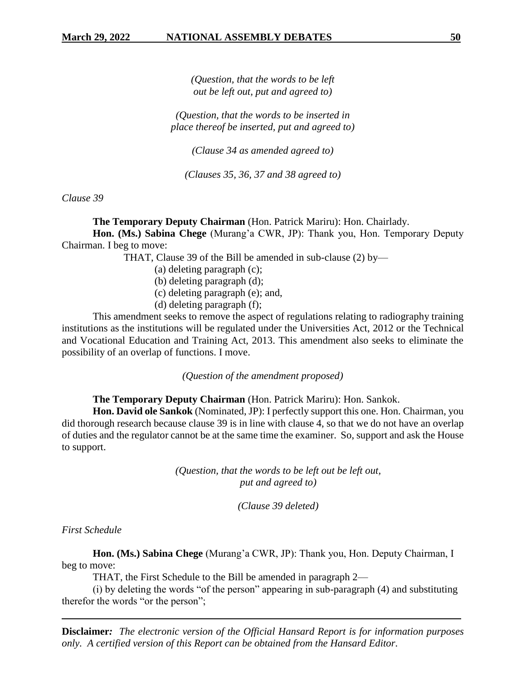*(Question, that the words to be left out be left out, put and agreed to)*

*(Question, that the words to be inserted in place thereof be inserted, put and agreed to)*

*(Clause 34 as amended agreed to)*

*(Clauses 35, 36, 37 and 38 agreed to)*

*Clause 39*

**The Temporary Deputy Chairman** (Hon. Patrick Mariru): Hon. Chairlady.

**Hon. (Ms.) Sabina Chege** (Murang'a CWR, JP): Thank you, Hon. Temporary Deputy Chairman. I beg to move:

THAT, Clause 39 of the Bill be amended in sub-clause (2) by—

(a) deleting paragraph (c);

- (b) deleting paragraph (d);
- (c) deleting paragraph (e); and,
- (d) deleting paragraph (f);

This amendment seeks to remove the aspect of regulations relating to radiography training institutions as the institutions will be regulated under the Universities Act, 2012 or the Technical and Vocational Education and Training Act, 2013. This amendment also seeks to eliminate the possibility of an overlap of functions. I move.

*(Question of the amendment proposed)*

**The Temporary Deputy Chairman** (Hon. Patrick Mariru): Hon. Sankok.

**Hon. David ole Sankok** (Nominated, JP): I perfectly support this one. Hon. Chairman, you did thorough research because clause 39 is in line with clause 4, so that we do not have an overlap of duties and the regulator cannot be at the same time the examiner. So, support and ask the House to support.

> *(Question, that the words to be left out be left out, put and agreed to)*

> > *(Clause 39 deleted)*

*First Schedule*

**Hon. (Ms.) Sabina Chege** (Murang'a CWR, JP): Thank you, Hon. Deputy Chairman, I beg to move:

THAT, the First Schedule to the Bill be amended in paragraph 2—

(i) by deleting the words "of the person" appearing in sub-paragraph (4) and substituting therefor the words "or the person";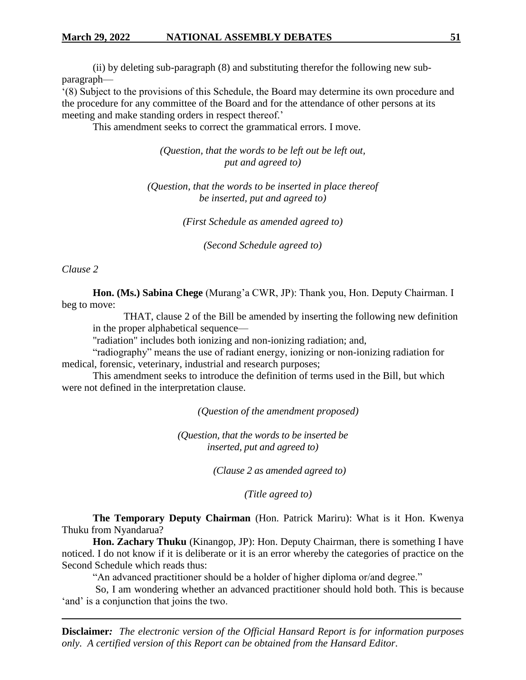(ii) by deleting sub-paragraph (8) and substituting therefor the following new subparagraph—

'(8) Subject to the provisions of this Schedule, the Board may determine its own procedure and the procedure for any committee of the Board and for the attendance of other persons at its meeting and make standing orders in respect thereof.'

This amendment seeks to correct the grammatical errors. I move.

*(Question, that the words to be left out be left out, put and agreed to)*

*(Question, that the words to be inserted in place thereof be inserted, put and agreed to)*

*(First Schedule as amended agreed to)*

*(Second Schedule agreed to)*

*Clause 2*

**Hon. (Ms.) Sabina Chege** (Murang'a CWR, JP): Thank you, Hon. Deputy Chairman. I beg to move:

THAT, clause 2 of the Bill be amended by inserting the following new definition in the proper alphabetical sequence—

"radiation" includes both ionizing and non-ionizing radiation; and,

"radiography" means the use of radiant energy, ionizing or non-ionizing radiation for medical, forensic, veterinary, industrial and research purposes;

This amendment seeks to introduce the definition of terms used in the Bill, but which were not defined in the interpretation clause.

*(Question of the amendment proposed)*

*(Question, that the words to be inserted be inserted, put and agreed to)*

*(Clause 2 as amended agreed to)*

*(Title agreed to)*

**The Temporary Deputy Chairman** (Hon. Patrick Mariru): What is it Hon. Kwenya Thuku from Nyandarua?

**Hon. Zachary Thuku** (Kinangop, JP): Hon. Deputy Chairman, there is something I have noticed. I do not know if it is deliberate or it is an error whereby the categories of practice on the Second Schedule which reads thus:

"An advanced practitioner should be a holder of higher diploma or/and degree."

So, I am wondering whether an advanced practitioner should hold both. This is because 'and' is a conjunction that joins the two.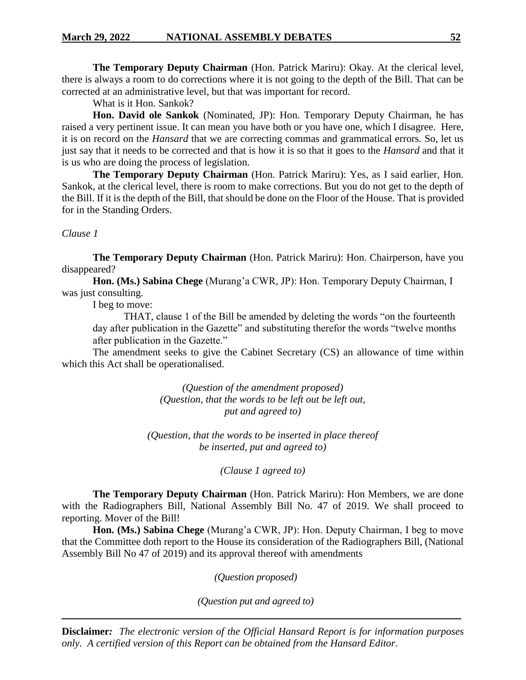**The Temporary Deputy Chairman** (Hon. Patrick Mariru): Okay. At the clerical level, there is always a room to do corrections where it is not going to the depth of the Bill. That can be corrected at an administrative level, but that was important for record.

What is it Hon. Sankok?

**Hon. David ole Sankok** (Nominated, JP): Hon. Temporary Deputy Chairman, he has raised a very pertinent issue. It can mean you have both or you have one, which I disagree. Here, it is on record on the *Hansard* that we are correcting commas and grammatical errors. So, let us just say that it needs to be corrected and that is how it is so that it goes to the *Hansard* and that it is us who are doing the process of legislation.

**The Temporary Deputy Chairman** (Hon. Patrick Mariru): Yes, as I said earlier, Hon. Sankok, at the clerical level, there is room to make corrections. But you do not get to the depth of the Bill. If it is the depth of the Bill, that should be done on the Floor of the House. That is provided for in the Standing Orders.

*Clause 1*

**The Temporary Deputy Chairman** (Hon. Patrick Mariru): Hon. Chairperson, have you disappeared?

**Hon. (Ms.) Sabina Chege** (Murang'a CWR, JP): Hon. Temporary Deputy Chairman, I was just consulting.

I beg to move:

THAT, clause 1 of the Bill be amended by deleting the words "on the fourteenth day after publication in the Gazette" and substituting therefor the words "twelve months" after publication in the Gazette."

The amendment seeks to give the Cabinet Secretary (CS) an allowance of time within which this Act shall be operationalised.

> *(Question of the amendment proposed) (Question, that the words to be left out be left out, put and agreed to)*

*(Question, that the words to be inserted in place thereof be inserted, put and agreed to)*

*(Clause 1 agreed to)*

**The Temporary Deputy Chairman** (Hon. Patrick Mariru): Hon Members, we are done with the Radiographers Bill, National Assembly Bill No. 47 of 2019. We shall proceed to reporting. Mover of the Bill!

**Hon. (Ms.) Sabina Chege** (Murang'a CWR, JP): Hon. Deputy Chairman, I beg to move that the Committee doth report to the House its consideration of the Radiographers Bill, (National Assembly Bill No 47 of 2019) and its approval thereof with amendments

*(Question proposed)*

*(Question put and agreed to)*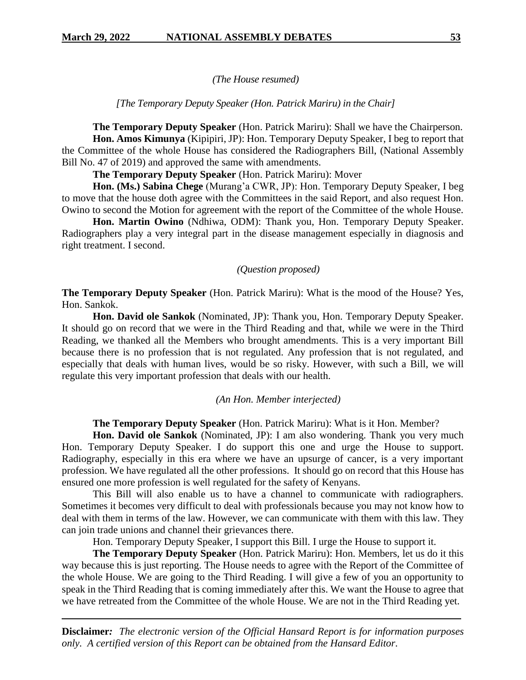*(The House resumed)*

*[The Temporary Deputy Speaker (Hon. Patrick Mariru) in the Chair]*

**The Temporary Deputy Speaker** (Hon. Patrick Mariru): Shall we have the Chairperson. **Hon. Amos Kimunya** (Kipipiri, JP): Hon. Temporary Deputy Speaker, I beg to report that the Committee of the whole House has considered the Radiographers Bill, (National Assembly Bill No. 47 of 2019) and approved the same with amendments.

**The Temporary Deputy Speaker** (Hon. Patrick Mariru): Mover

**Hon. (Ms.) Sabina Chege** (Murang'a CWR, JP): Hon. Temporary Deputy Speaker, I beg to move that the house doth agree with the Committees in the said Report, and also request Hon. Owino to second the Motion for agreement with the report of the Committee of the whole House.

**Hon. Martin Owino** (Ndhiwa, ODM): Thank you, Hon. Temporary Deputy Speaker. Radiographers play a very integral part in the disease management especially in diagnosis and right treatment. I second.

*(Question proposed)*

**The Temporary Deputy Speaker** (Hon. Patrick Mariru): What is the mood of the House? Yes, Hon. Sankok.

**Hon. David ole Sankok** (Nominated, JP): Thank you, Hon. Temporary Deputy Speaker. It should go on record that we were in the Third Reading and that, while we were in the Third Reading, we thanked all the Members who brought amendments. This is a very important Bill because there is no profession that is not regulated. Any profession that is not regulated, and especially that deals with human lives, would be so risky. However, with such a Bill, we will regulate this very important profession that deals with our health.

*(An Hon. Member interjected)*

**The Temporary Deputy Speaker** (Hon. Patrick Mariru): What is it Hon. Member?

**Hon. David ole Sankok** (Nominated, JP): I am also wondering. Thank you very much Hon. Temporary Deputy Speaker. I do support this one and urge the House to support. Radiography, especially in this era where we have an upsurge of cancer, is a very important profession. We have regulated all the other professions. It should go on record that this House has ensured one more profession is well regulated for the safety of Kenyans.

This Bill will also enable us to have a channel to communicate with radiographers. Sometimes it becomes very difficult to deal with professionals because you may not know how to deal with them in terms of the law. However, we can communicate with them with this law. They can join trade unions and channel their grievances there.

Hon. Temporary Deputy Speaker, I support this Bill. I urge the House to support it.

**The Temporary Deputy Speaker** (Hon. Patrick Mariru): Hon. Members, let us do it this way because this is just reporting. The House needs to agree with the Report of the Committee of the whole House. We are going to the Third Reading. I will give a few of you an opportunity to speak in the Third Reading that is coming immediately after this. We want the House to agree that we have retreated from the Committee of the whole House. We are not in the Third Reading yet.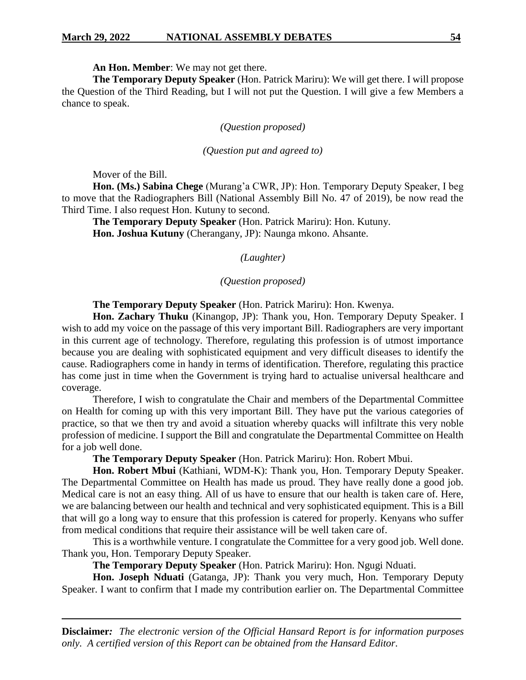**An Hon. Member**: We may not get there.

**The Temporary Deputy Speaker** (Hon. Patrick Mariru): We will get there. I will propose the Question of the Third Reading, but I will not put the Question. I will give a few Members a chance to speak.

# *(Question proposed)*

### *(Question put and agreed to)*

Mover of the Bill.

**Hon. (Ms.) Sabina Chege** (Murang'a CWR, JP): Hon. Temporary Deputy Speaker, I beg to move that the Radiographers Bill (National Assembly Bill No. 47 of 2019), be now read the Third Time. I also request Hon. Kutuny to second.

**The Temporary Deputy Speaker** (Hon. Patrick Mariru): Hon. Kutuny. **Hon. Joshua Kutuny** (Cherangany, JP): Naunga mkono. Ahsante.

# *(Laughter)*

### *(Question proposed)*

**The Temporary Deputy Speaker** (Hon. Patrick Mariru): Hon. Kwenya.

**Hon. Zachary Thuku** (Kinangop, JP): Thank you, Hon. Temporary Deputy Speaker. I wish to add my voice on the passage of this very important Bill. Radiographers are very important in this current age of technology. Therefore, regulating this profession is of utmost importance because you are dealing with sophisticated equipment and very difficult diseases to identify the cause. Radiographers come in handy in terms of identification. Therefore, regulating this practice has come just in time when the Government is trying hard to actualise universal healthcare and coverage.

Therefore, I wish to congratulate the Chair and members of the Departmental Committee on Health for coming up with this very important Bill. They have put the various categories of practice, so that we then try and avoid a situation whereby quacks will infiltrate this very noble profession of medicine. I support the Bill and congratulate the Departmental Committee on Health for a job well done.

**The Temporary Deputy Speaker** (Hon. Patrick Mariru): Hon. Robert Mbui.

**Hon. Robert Mbui** (Kathiani, WDM-K): Thank you, Hon. Temporary Deputy Speaker. The Departmental Committee on Health has made us proud. They have really done a good job. Medical care is not an easy thing. All of us have to ensure that our health is taken care of. Here, we are balancing between our health and technical and very sophisticated equipment. This is a Bill that will go a long way to ensure that this profession is catered for properly. Kenyans who suffer from medical conditions that require their assistance will be well taken care of.

This is a worthwhile venture. I congratulate the Committee for a very good job. Well done. Thank you, Hon. Temporary Deputy Speaker.

**The Temporary Deputy Speaker** (Hon. Patrick Mariru): Hon. Ngugi Nduati.

**Hon. Joseph Nduati** (Gatanga, JP): Thank you very much, Hon. Temporary Deputy Speaker. I want to confirm that I made my contribution earlier on. The Departmental Committee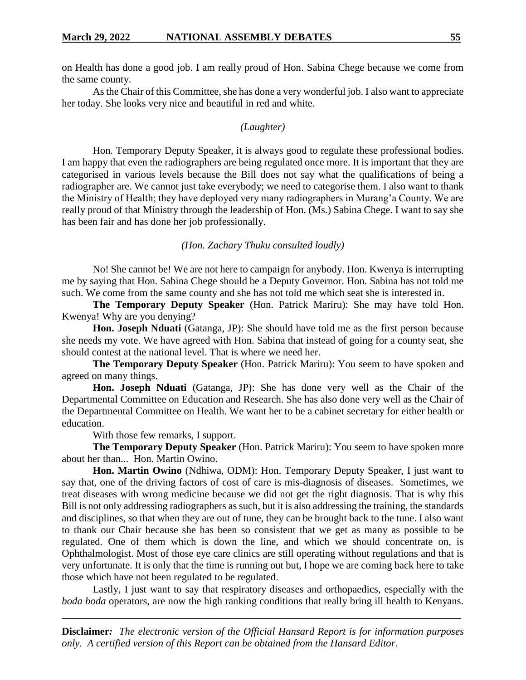on Health has done a good job. I am really proud of Hon. Sabina Chege because we come from the same county.

As the Chair of this Committee, she has done a very wonderful job. I also want to appreciate her today. She looks very nice and beautiful in red and white.

#### *(Laughter)*

Hon. Temporary Deputy Speaker, it is always good to regulate these professional bodies. I am happy that even the radiographers are being regulated once more. It is important that they are categorised in various levels because the Bill does not say what the qualifications of being a radiographer are. We cannot just take everybody; we need to categorise them. I also want to thank the Ministry of Health; they have deployed very many radiographers in Murang'a County. We are really proud of that Ministry through the leadership of Hon. (Ms.) Sabina Chege. I want to say she has been fair and has done her job professionally.

### *(Hon. Zachary Thuku consulted loudly)*

No! She cannot be! We are not here to campaign for anybody. Hon. Kwenya is interrupting me by saying that Hon. Sabina Chege should be a Deputy Governor. Hon. Sabina has not told me such. We come from the same county and she has not told me which seat she is interested in.

**The Temporary Deputy Speaker** (Hon. Patrick Mariru): She may have told Hon. Kwenya! Why are you denying?

**Hon. Joseph Nduati** (Gatanga, JP): She should have told me as the first person because she needs my vote. We have agreed with Hon. Sabina that instead of going for a county seat, she should contest at the national level. That is where we need her.

**The Temporary Deputy Speaker** (Hon. Patrick Mariru): You seem to have spoken and agreed on many things.

**Hon. Joseph Nduati** (Gatanga, JP): She has done very well as the Chair of the Departmental Committee on Education and Research. She has also done very well as the Chair of the Departmental Committee on Health. We want her to be a cabinet secretary for either health or education.

With those few remarks, I support.

**The Temporary Deputy Speaker** (Hon. Patrick Mariru): You seem to have spoken more about her than... Hon. Martin Owino.

**Hon. Martin Owino** (Ndhiwa, ODM): Hon. Temporary Deputy Speaker, I just want to say that, one of the driving factors of cost of care is mis-diagnosis of diseases. Sometimes, we treat diseases with wrong medicine because we did not get the right diagnosis. That is why this Bill is not only addressing radiographers as such, but it is also addressing the training, the standards and disciplines, so that when they are out of tune, they can be brought back to the tune. I also want to thank our Chair because she has been so consistent that we get as many as possible to be regulated. One of them which is down the line, and which we should concentrate on, is Ophthalmologist. Most of those eye care clinics are still operating without regulations and that is very unfortunate. It is only that the time is running out but, I hope we are coming back here to take those which have not been regulated to be regulated.

Lastly, I just want to say that respiratory diseases and orthopaedics, especially with the *boda boda* operators, are now the high ranking conditions that really bring ill health to Kenyans.